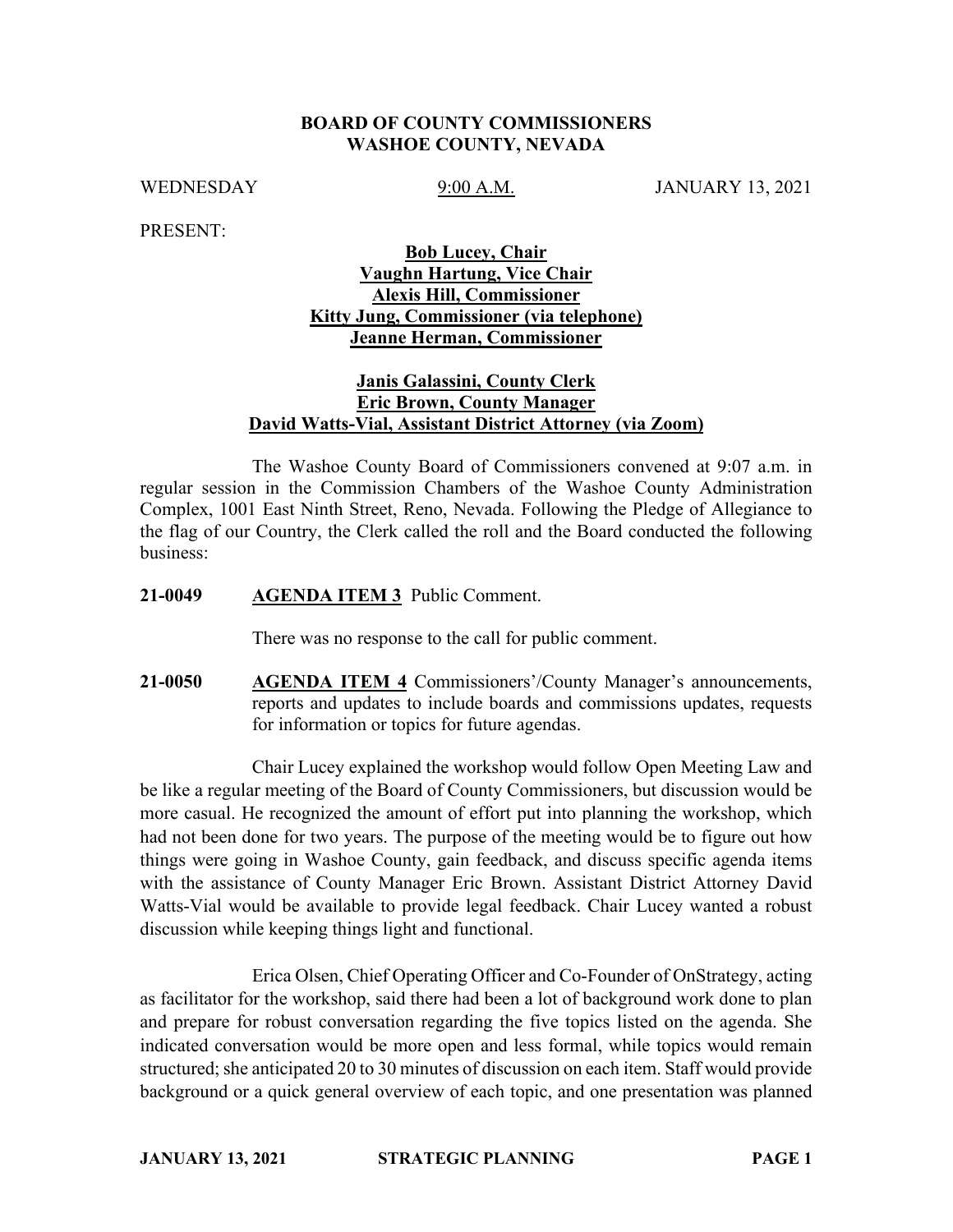### **BOARD OF COUNTY COMMISSIONERS WASHOE COUNTY, NEVADA**

WEDNESDAY 9:00 A.M. JANUARY 13, 2021

PRESENT:

# **Bob Lucey, Chair Vaughn Hartung, Vice Chair Alexis Hill, Commissioner Kitty Jung, Commissioner (via telephone) Jeanne Herman, Commissioner**

# **Janis Galassini, County Clerk Eric Brown, County Manager David Watts-Vial, Assistant District Attorney (via Zoom)**

The Washoe County Board of Commissioners convened at 9:07 a.m. in regular session in the Commission Chambers of the Washoe County Administration Complex, 1001 East Ninth Street, Reno, Nevada. Following the Pledge of Allegiance to the flag of our Country, the Clerk called the roll and the Board conducted the following business:

### **21-0049 AGENDA ITEM 3** Public Comment.

There was no response to the call for public comment.

**21-0050 AGENDA ITEM 4** Commissioners'/County Manager's announcements, reports and updates to include boards and commissions updates, requests for information or topics for future agendas.

Chair Lucey explained the workshop would follow Open Meeting Law and be like a regular meeting of the Board of County Commissioners, but discussion would be more casual. He recognized the amount of effort put into planning the workshop, which had not been done for two years. The purpose of the meeting would be to figure out how things were going in Washoe County, gain feedback, and discuss specific agenda items with the assistance of County Manager Eric Brown. Assistant District Attorney David Watts-Vial would be available to provide legal feedback. Chair Lucey wanted a robust discussion while keeping things light and functional.

Erica Olsen, Chief Operating Officer and Co-Founder of OnStrategy, acting as facilitator for the workshop, said there had been a lot of background work done to plan and prepare for robust conversation regarding the five topics listed on the agenda. She indicated conversation would be more open and less formal, while topics would remain structured; she anticipated 20 to 30 minutes of discussion on each item. Staff would provide background or a quick general overview of each topic, and one presentation was planned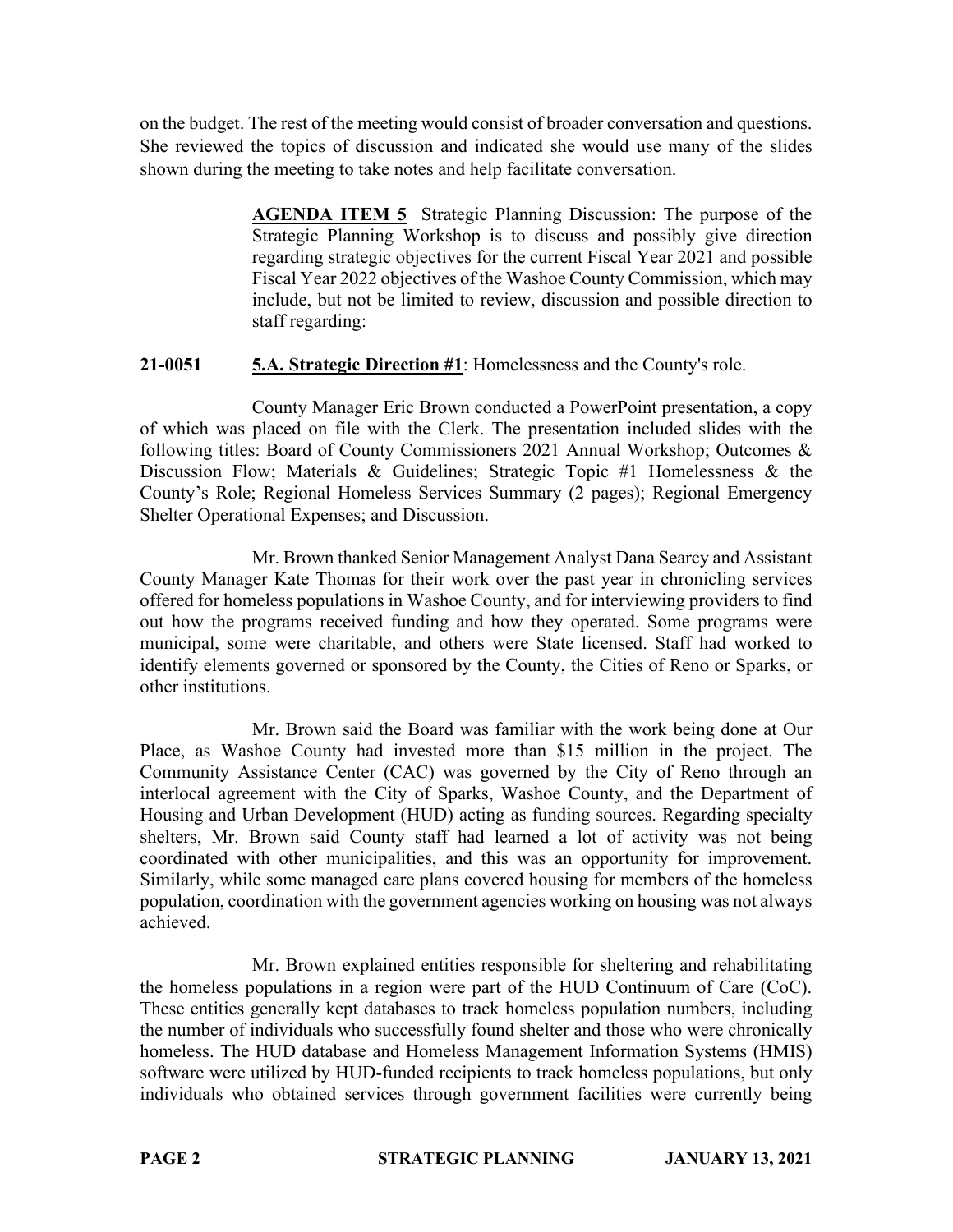on the budget. The rest of the meeting would consist of broader conversation and questions. She reviewed the topics of discussion and indicated she would use many of the slides shown during the meeting to take notes and help facilitate conversation.

> **AGENDA ITEM 5** Strategic Planning Discussion: The purpose of the Strategic Planning Workshop is to discuss and possibly give direction regarding strategic objectives for the current Fiscal Year 2021 and possible Fiscal Year 2022 objectives of the Washoe County Commission, which may include, but not be limited to review, discussion and possible direction to staff regarding:

## **21-0051 5.A. Strategic Direction #1**: Homelessness and the County's role.

County Manager Eric Brown conducted a PowerPoint presentation, a copy of which was placed on file with the Clerk. The presentation included slides with the following titles: Board of County Commissioners 2021 Annual Workshop; Outcomes & Discussion Flow; Materials & Guidelines; Strategic Topic #1 Homelessness & the County's Role; Regional Homeless Services Summary (2 pages); Regional Emergency Shelter Operational Expenses; and Discussion.

Mr. Brown thanked Senior Management Analyst Dana Searcy and Assistant County Manager Kate Thomas for their work over the past year in chronicling services offered for homeless populations in Washoe County, and for interviewing providers to find out how the programs received funding and how they operated. Some programs were municipal, some were charitable, and others were State licensed. Staff had worked to identify elements governed or sponsored by the County, the Cities of Reno or Sparks, or other institutions.

Mr. Brown said the Board was familiar with the work being done at Our Place, as Washoe County had invested more than \$15 million in the project. The Community Assistance Center (CAC) was governed by the City of Reno through an interlocal agreement with the City of Sparks, Washoe County, and the Department of Housing and Urban Development (HUD) acting as funding sources. Regarding specialty shelters, Mr. Brown said County staff had learned a lot of activity was not being coordinated with other municipalities, and this was an opportunity for improvement. Similarly, while some managed care plans covered housing for members of the homeless population, coordination with the government agencies working on housing was not always achieved.

Mr. Brown explained entities responsible for sheltering and rehabilitating the homeless populations in a region were part of the HUD Continuum of Care (CoC). These entities generally kept databases to track homeless population numbers, including the number of individuals who successfully found shelter and those who were chronically homeless. The HUD database and Homeless Management Information Systems (HMIS) software were utilized by HUD-funded recipients to track homeless populations, but only individuals who obtained services through government facilities were currently being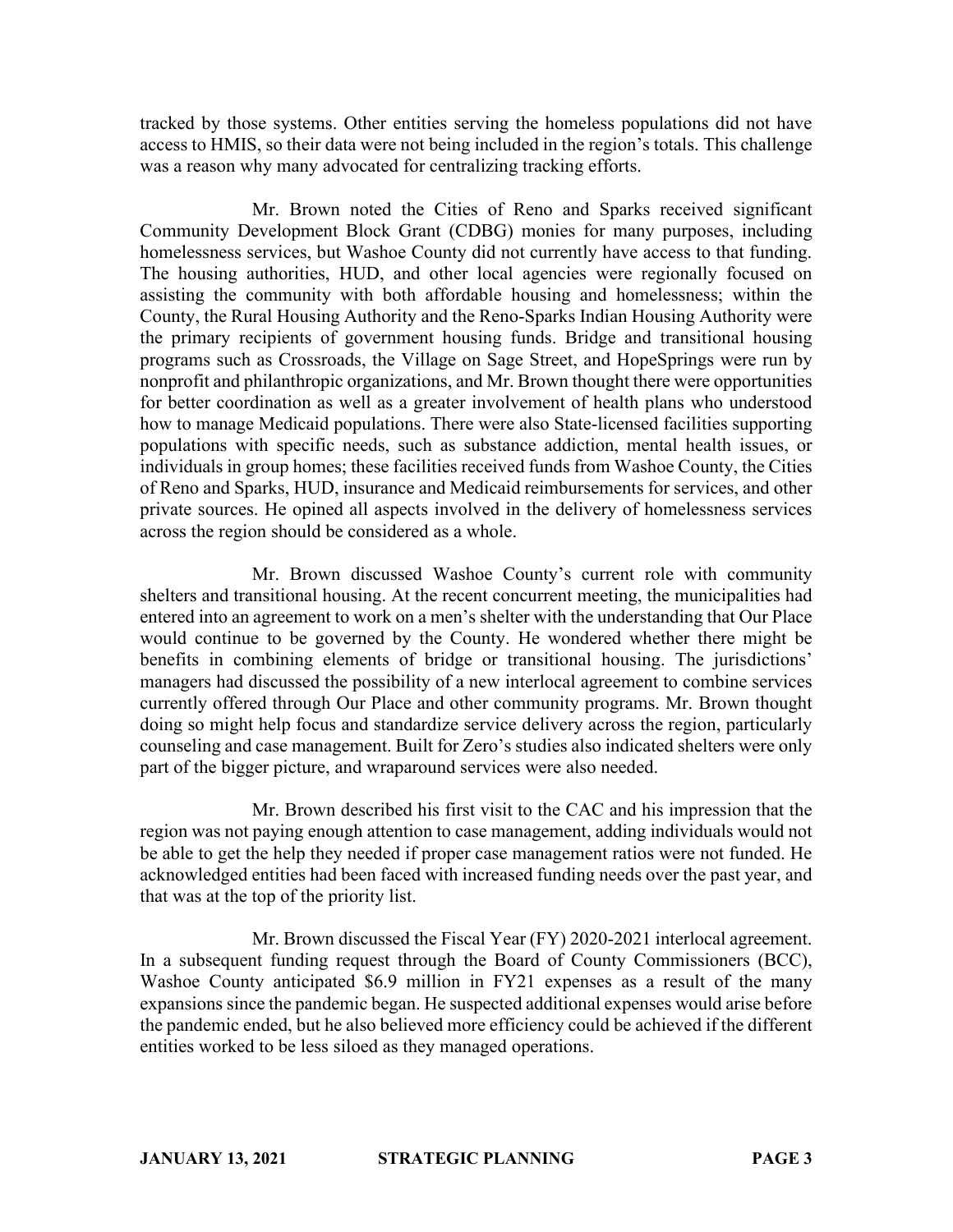tracked by those systems. Other entities serving the homeless populations did not have access to HMIS, so their data were not being included in the region's totals. This challenge was a reason why many advocated for centralizing tracking efforts.

Mr. Brown noted the Cities of Reno and Sparks received significant Community Development Block Grant (CDBG) monies for many purposes, including homelessness services, but Washoe County did not currently have access to that funding. The housing authorities, HUD, and other local agencies were regionally focused on assisting the community with both affordable housing and homelessness; within the County, the Rural Housing Authority and the Reno-Sparks Indian Housing Authority were the primary recipients of government housing funds. Bridge and transitional housing programs such as Crossroads, the Village on Sage Street, and HopeSprings were run by nonprofit and philanthropic organizations, and Mr. Brown thought there were opportunities for better coordination as well as a greater involvement of health plans who understood how to manage Medicaid populations. There were also State-licensed facilities supporting populations with specific needs, such as substance addiction, mental health issues, or individuals in group homes; these facilities received funds from Washoe County, the Cities of Reno and Sparks, HUD, insurance and Medicaid reimbursements for services, and other private sources. He opined all aspects involved in the delivery of homelessness services across the region should be considered as a whole.

Mr. Brown discussed Washoe County's current role with community shelters and transitional housing. At the recent concurrent meeting, the municipalities had entered into an agreement to work on a men's shelter with the understanding that Our Place would continue to be governed by the County. He wondered whether there might be benefits in combining elements of bridge or transitional housing. The jurisdictions' managers had discussed the possibility of a new interlocal agreement to combine services currently offered through Our Place and other community programs. Mr. Brown thought doing so might help focus and standardize service delivery across the region, particularly counseling and case management. Built for Zero's studies also indicated shelters were only part of the bigger picture, and wraparound services were also needed.

Mr. Brown described his first visit to the CAC and his impression that the region was not paying enough attention to case management, adding individuals would not be able to get the help they needed if proper case management ratios were not funded. He acknowledged entities had been faced with increased funding needs over the past year, and that was at the top of the priority list.

Mr. Brown discussed the Fiscal Year (FY) 2020-2021 interlocal agreement. In a subsequent funding request through the Board of County Commissioners (BCC), Washoe County anticipated \$6.9 million in FY21 expenses as a result of the many expansions since the pandemic began. He suspected additional expenses would arise before the pandemic ended, but he also believed more efficiency could be achieved if the different entities worked to be less siloed as they managed operations.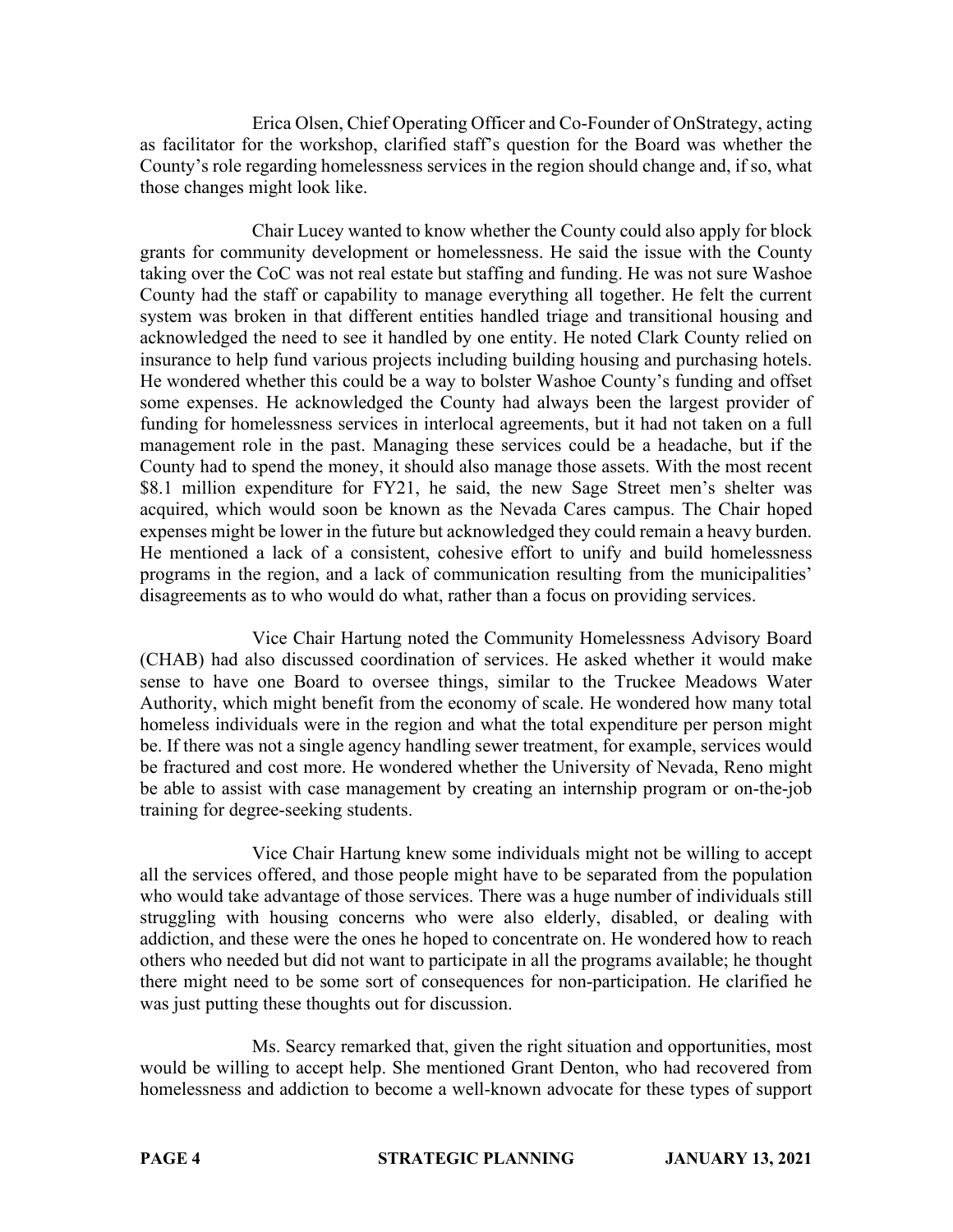Erica Olsen, Chief Operating Officer and Co-Founder of OnStrategy, acting as facilitator for the workshop, clarified staff's question for the Board was whether the County's role regarding homelessness services in the region should change and, if so, what those changes might look like.

Chair Lucey wanted to know whether the County could also apply for block grants for community development or homelessness. He said the issue with the County taking over the CoC was not real estate but staffing and funding. He was not sure Washoe County had the staff or capability to manage everything all together. He felt the current system was broken in that different entities handled triage and transitional housing and acknowledged the need to see it handled by one entity. He noted Clark County relied on insurance to help fund various projects including building housing and purchasing hotels. He wondered whether this could be a way to bolster Washoe County's funding and offset some expenses. He acknowledged the County had always been the largest provider of funding for homelessness services in interlocal agreements, but it had not taken on a full management role in the past. Managing these services could be a headache, but if the County had to spend the money, it should also manage those assets. With the most recent \$8.1 million expenditure for FY21, he said, the new Sage Street men's shelter was acquired, which would soon be known as the Nevada Cares campus. The Chair hoped expenses might be lower in the future but acknowledged they could remain a heavy burden. He mentioned a lack of a consistent, cohesive effort to unify and build homelessness programs in the region, and a lack of communication resulting from the municipalities' disagreements as to who would do what, rather than a focus on providing services.

Vice Chair Hartung noted the Community Homelessness Advisory Board (CHAB) had also discussed coordination of services. He asked whether it would make sense to have one Board to oversee things, similar to the Truckee Meadows Water Authority, which might benefit from the economy of scale. He wondered how many total homeless individuals were in the region and what the total expenditure per person might be. If there was not a single agency handling sewer treatment, for example, services would be fractured and cost more. He wondered whether the University of Nevada, Reno might be able to assist with case management by creating an internship program or on-the-job training for degree-seeking students.

Vice Chair Hartung knew some individuals might not be willing to accept all the services offered, and those people might have to be separated from the population who would take advantage of those services. There was a huge number of individuals still struggling with housing concerns who were also elderly, disabled, or dealing with addiction, and these were the ones he hoped to concentrate on. He wondered how to reach others who needed but did not want to participate in all the programs available; he thought there might need to be some sort of consequences for non-participation. He clarified he was just putting these thoughts out for discussion.

Ms. Searcy remarked that, given the right situation and opportunities, most would be willing to accept help. She mentioned Grant Denton, who had recovered from homelessness and addiction to become a well-known advocate for these types of support

**PAGE 4 STRATEGIC PLANNING JANUARY 13, 2021**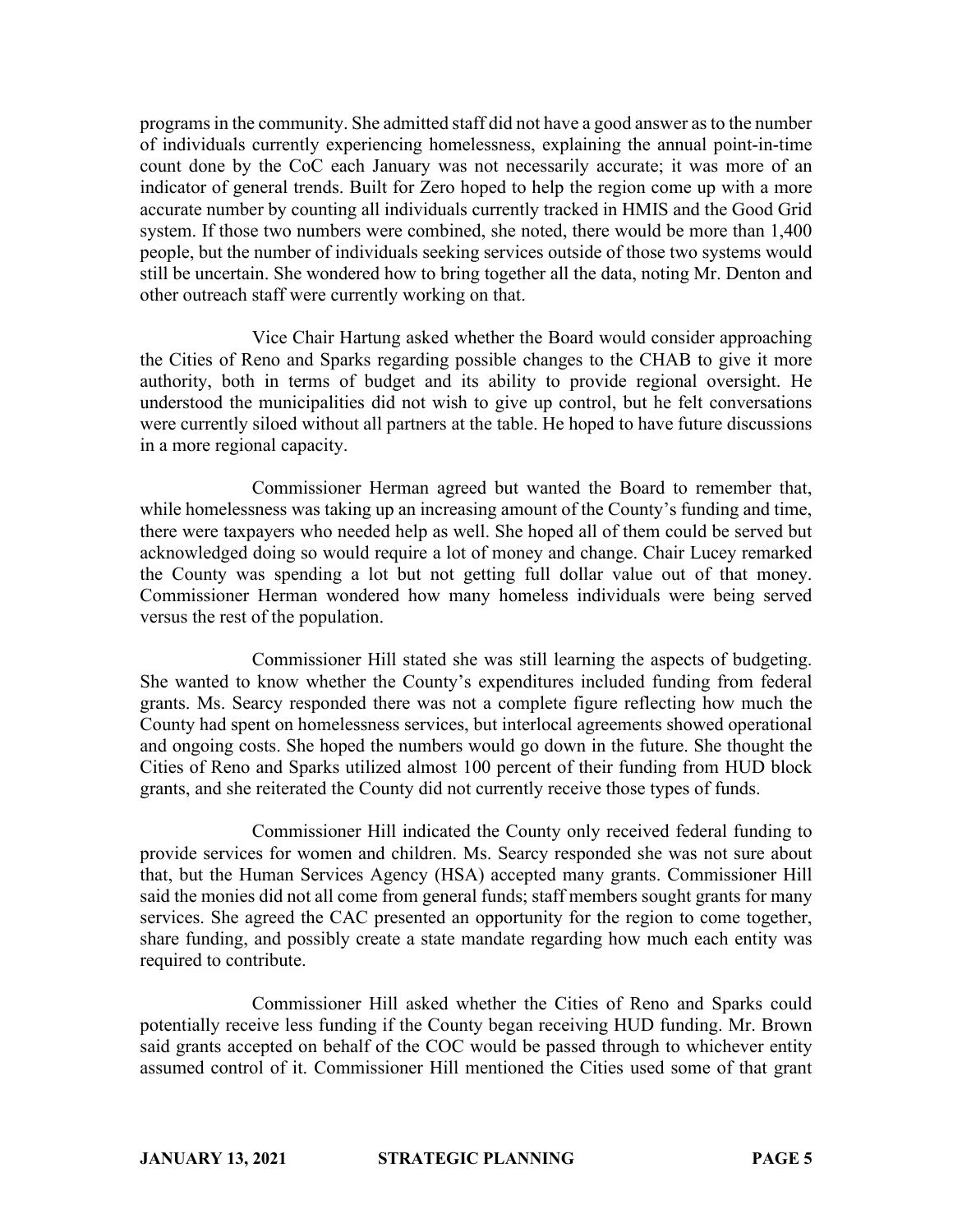programs in the community. She admitted staff did not have a good answer as to the number of individuals currently experiencing homelessness, explaining the annual point-in-time count done by the CoC each January was not necessarily accurate; it was more of an indicator of general trends. Built for Zero hoped to help the region come up with a more accurate number by counting all individuals currently tracked in HMIS and the Good Grid system. If those two numbers were combined, she noted, there would be more than 1,400 people, but the number of individuals seeking services outside of those two systems would still be uncertain. She wondered how to bring together all the data, noting Mr. Denton and other outreach staff were currently working on that.

Vice Chair Hartung asked whether the Board would consider approaching the Cities of Reno and Sparks regarding possible changes to the CHAB to give it more authority, both in terms of budget and its ability to provide regional oversight. He understood the municipalities did not wish to give up control, but he felt conversations were currently siloed without all partners at the table. He hoped to have future discussions in a more regional capacity.

Commissioner Herman agreed but wanted the Board to remember that, while homelessness was taking up an increasing amount of the County's funding and time, there were taxpayers who needed help as well. She hoped all of them could be served but acknowledged doing so would require a lot of money and change. Chair Lucey remarked the County was spending a lot but not getting full dollar value out of that money. Commissioner Herman wondered how many homeless individuals were being served versus the rest of the population.

Commissioner Hill stated she was still learning the aspects of budgeting. She wanted to know whether the County's expenditures included funding from federal grants. Ms. Searcy responded there was not a complete figure reflecting how much the County had spent on homelessness services, but interlocal agreements showed operational and ongoing costs. She hoped the numbers would go down in the future. She thought the Cities of Reno and Sparks utilized almost 100 percent of their funding from HUD block grants, and she reiterated the County did not currently receive those types of funds.

Commissioner Hill indicated the County only received federal funding to provide services for women and children. Ms. Searcy responded she was not sure about that, but the Human Services Agency (HSA) accepted many grants. Commissioner Hill said the monies did not all come from general funds; staff members sought grants for many services. She agreed the CAC presented an opportunity for the region to come together, share funding, and possibly create a state mandate regarding how much each entity was required to contribute.

Commissioner Hill asked whether the Cities of Reno and Sparks could potentially receive less funding if the County began receiving HUD funding. Mr. Brown said grants accepted on behalf of the COC would be passed through to whichever entity assumed control of it. Commissioner Hill mentioned the Cities used some of that grant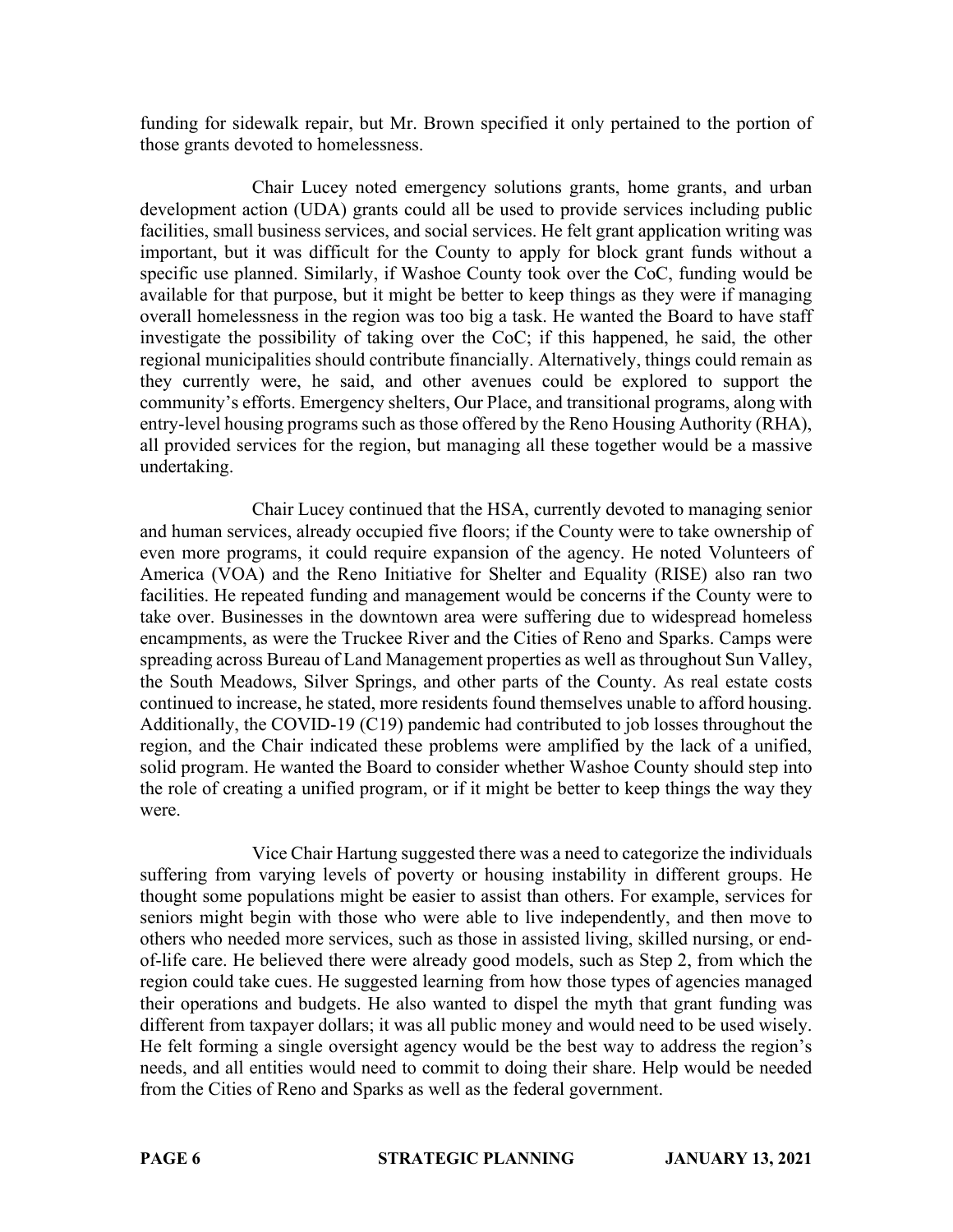funding for sidewalk repair, but Mr. Brown specified it only pertained to the portion of those grants devoted to homelessness.

Chair Lucey noted emergency solutions grants, home grants, and urban development action (UDA) grants could all be used to provide services including public facilities, small business services, and social services. He felt grant application writing was important, but it was difficult for the County to apply for block grant funds without a specific use planned. Similarly, if Washoe County took over the CoC, funding would be available for that purpose, but it might be better to keep things as they were if managing overall homelessness in the region was too big a task. He wanted the Board to have staff investigate the possibility of taking over the CoC; if this happened, he said, the other regional municipalities should contribute financially. Alternatively, things could remain as they currently were, he said, and other avenues could be explored to support the community's efforts. Emergency shelters, Our Place, and transitional programs, along with entry-level housing programs such as those offered by the Reno Housing Authority (RHA), all provided services for the region, but managing all these together would be a massive undertaking.

Chair Lucey continued that the HSA, currently devoted to managing senior and human services, already occupied five floors; if the County were to take ownership of even more programs, it could require expansion of the agency. He noted Volunteers of America (VOA) and the Reno Initiative for Shelter and Equality (RISE) also ran two facilities. He repeated funding and management would be concerns if the County were to take over. Businesses in the downtown area were suffering due to widespread homeless encampments, as were the Truckee River and the Cities of Reno and Sparks. Camps were spreading across Bureau of Land Management properties as well as throughout Sun Valley, the South Meadows, Silver Springs, and other parts of the County. As real estate costs continued to increase, he stated, more residents found themselves unable to afford housing. Additionally, the COVID-19 (C19) pandemic had contributed to job losses throughout the region, and the Chair indicated these problems were amplified by the lack of a unified, solid program. He wanted the Board to consider whether Washoe County should step into the role of creating a unified program, or if it might be better to keep things the way they were.

Vice Chair Hartung suggested there was a need to categorize the individuals suffering from varying levels of poverty or housing instability in different groups. He thought some populations might be easier to assist than others. For example, services for seniors might begin with those who were able to live independently, and then move to others who needed more services, such as those in assisted living, skilled nursing, or endof-life care. He believed there were already good models, such as Step 2, from which the region could take cues. He suggested learning from how those types of agencies managed their operations and budgets. He also wanted to dispel the myth that grant funding was different from taxpayer dollars; it was all public money and would need to be used wisely. He felt forming a single oversight agency would be the best way to address the region's needs, and all entities would need to commit to doing their share. Help would be needed from the Cities of Reno and Sparks as well as the federal government.

**PAGE 6 STRATEGIC PLANNING JANUARY 13, 2021**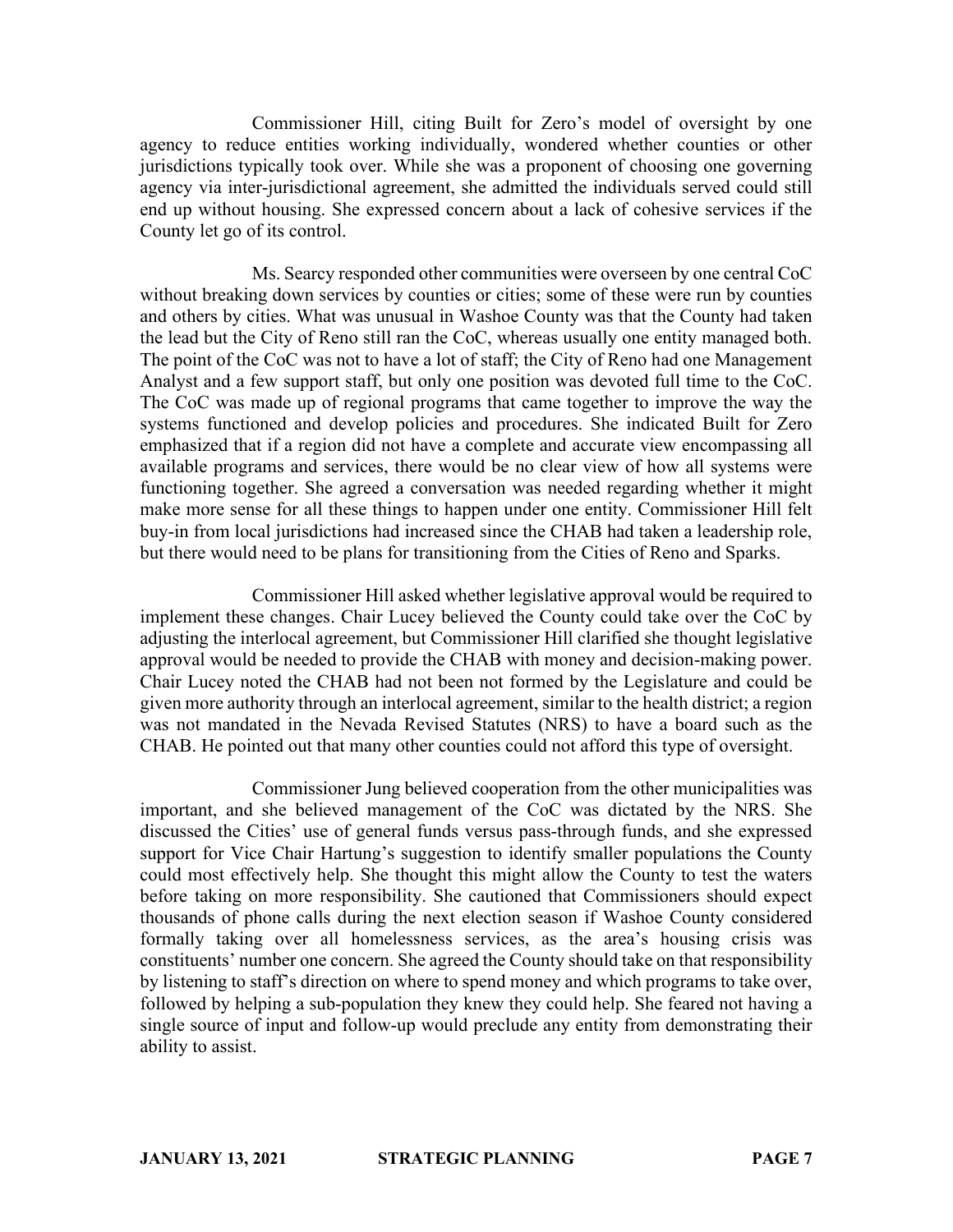Commissioner Hill, citing Built for Zero's model of oversight by one agency to reduce entities working individually, wondered whether counties or other jurisdictions typically took over. While she was a proponent of choosing one governing agency via inter-jurisdictional agreement, she admitted the individuals served could still end up without housing. She expressed concern about a lack of cohesive services if the County let go of its control.

Ms. Searcy responded other communities were overseen by one central CoC without breaking down services by counties or cities; some of these were run by counties and others by cities. What was unusual in Washoe County was that the County had taken the lead but the City of Reno still ran the CoC, whereas usually one entity managed both. The point of the CoC was not to have a lot of staff; the City of Reno had one Management Analyst and a few support staff, but only one position was devoted full time to the CoC. The CoC was made up of regional programs that came together to improve the way the systems functioned and develop policies and procedures. She indicated Built for Zero emphasized that if a region did not have a complete and accurate view encompassing all available programs and services, there would be no clear view of how all systems were functioning together. She agreed a conversation was needed regarding whether it might make more sense for all these things to happen under one entity. Commissioner Hill felt buy-in from local jurisdictions had increased since the CHAB had taken a leadership role, but there would need to be plans for transitioning from the Cities of Reno and Sparks.

Commissioner Hill asked whether legislative approval would be required to implement these changes. Chair Lucey believed the County could take over the CoC by adjusting the interlocal agreement, but Commissioner Hill clarified she thought legislative approval would be needed to provide the CHAB with money and decision-making power. Chair Lucey noted the CHAB had not been not formed by the Legislature and could be given more authority through an interlocal agreement, similar to the health district; a region was not mandated in the Nevada Revised Statutes (NRS) to have a board such as the CHAB. He pointed out that many other counties could not afford this type of oversight.

Commissioner Jung believed cooperation from the other municipalities was important, and she believed management of the CoC was dictated by the NRS. She discussed the Cities' use of general funds versus pass-through funds, and she expressed support for Vice Chair Hartung's suggestion to identify smaller populations the County could most effectively help. She thought this might allow the County to test the waters before taking on more responsibility. She cautioned that Commissioners should expect thousands of phone calls during the next election season if Washoe County considered formally taking over all homelessness services, as the area's housing crisis was constituents' number one concern. She agreed the County should take on that responsibility by listening to staff's direction on where to spend money and which programs to take over, followed by helping a sub-population they knew they could help. She feared not having a single source of input and follow-up would preclude any entity from demonstrating their ability to assist.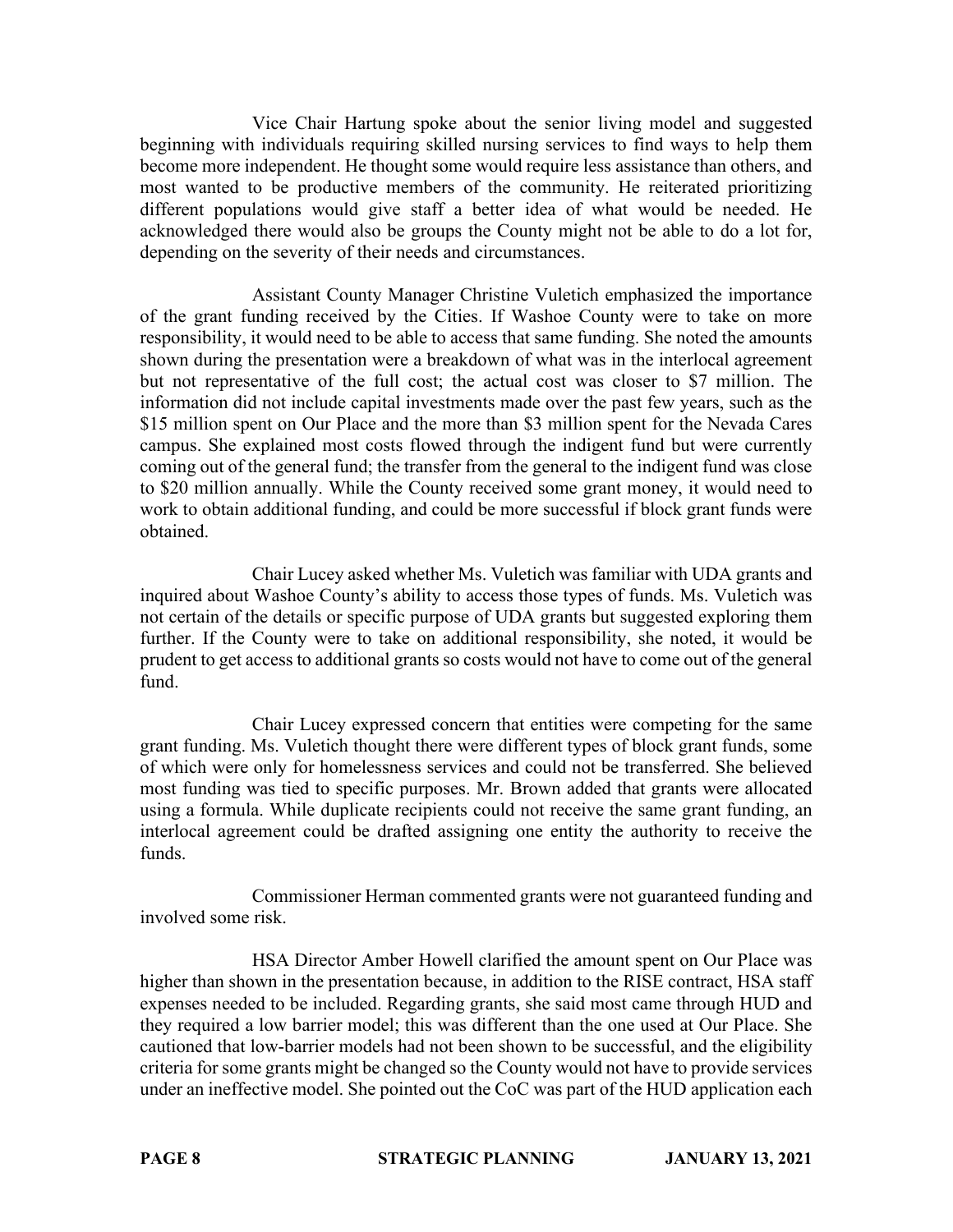Vice Chair Hartung spoke about the senior living model and suggested beginning with individuals requiring skilled nursing services to find ways to help them become more independent. He thought some would require less assistance than others, and most wanted to be productive members of the community. He reiterated prioritizing different populations would give staff a better idea of what would be needed. He acknowledged there would also be groups the County might not be able to do a lot for, depending on the severity of their needs and circumstances.

Assistant County Manager Christine Vuletich emphasized the importance of the grant funding received by the Cities. If Washoe County were to take on more responsibility, it would need to be able to access that same funding. She noted the amounts shown during the presentation were a breakdown of what was in the interlocal agreement but not representative of the full cost; the actual cost was closer to \$7 million. The information did not include capital investments made over the past few years, such as the \$15 million spent on Our Place and the more than \$3 million spent for the Nevada Cares campus. She explained most costs flowed through the indigent fund but were currently coming out of the general fund; the transfer from the general to the indigent fund was close to \$20 million annually. While the County received some grant money, it would need to work to obtain additional funding, and could be more successful if block grant funds were obtained.

Chair Lucey asked whether Ms. Vuletich was familiar with UDA grants and inquired about Washoe County's ability to access those types of funds. Ms. Vuletich was not certain of the details or specific purpose of UDA grants but suggested exploring them further. If the County were to take on additional responsibility, she noted, it would be prudent to get access to additional grants so costs would not have to come out of the general fund.

Chair Lucey expressed concern that entities were competing for the same grant funding. Ms. Vuletich thought there were different types of block grant funds, some of which were only for homelessness services and could not be transferred. She believed most funding was tied to specific purposes. Mr. Brown added that grants were allocated using a formula. While duplicate recipients could not receive the same grant funding, an interlocal agreement could be drafted assigning one entity the authority to receive the funds.

Commissioner Herman commented grants were not guaranteed funding and involved some risk.

HSA Director Amber Howell clarified the amount spent on Our Place was higher than shown in the presentation because, in addition to the RISE contract, HSA staff expenses needed to be included. Regarding grants, she said most came through HUD and they required a low barrier model; this was different than the one used at Our Place. She cautioned that low-barrier models had not been shown to be successful, and the eligibility criteria for some grants might be changed so the County would not have to provide services under an ineffective model. She pointed out the CoC was part of the HUD application each

**PAGE 8 STRATEGIC PLANNING JANUARY 13, 2021**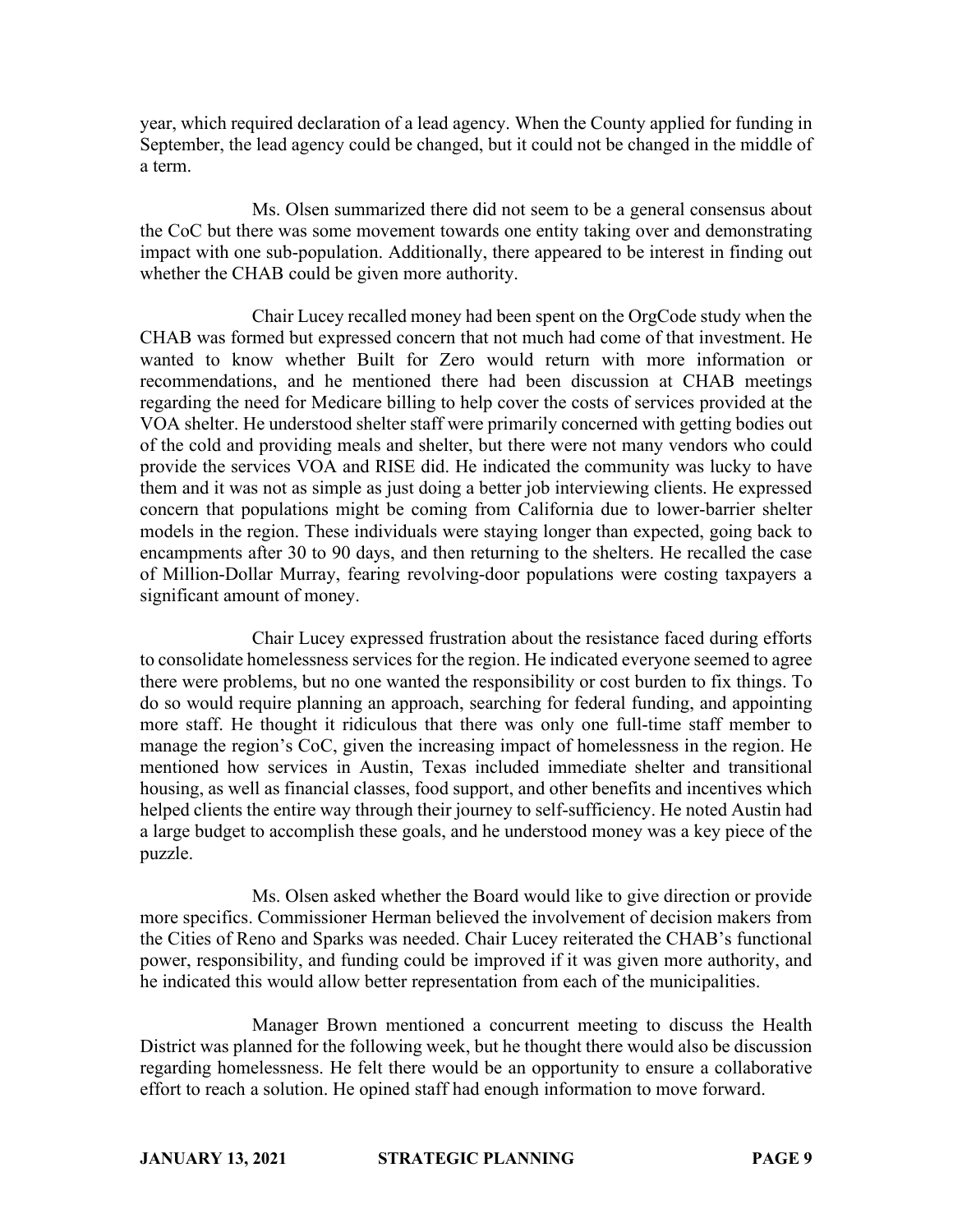year, which required declaration of a lead agency. When the County applied for funding in September, the lead agency could be changed, but it could not be changed in the middle of a term.

Ms. Olsen summarized there did not seem to be a general consensus about the CoC but there was some movement towards one entity taking over and demonstrating impact with one sub-population. Additionally, there appeared to be interest in finding out whether the CHAB could be given more authority.

Chair Lucey recalled money had been spent on the OrgCode study when the CHAB was formed but expressed concern that not much had come of that investment. He wanted to know whether Built for Zero would return with more information or recommendations, and he mentioned there had been discussion at CHAB meetings regarding the need for Medicare billing to help cover the costs of services provided at the VOA shelter. He understood shelter staff were primarily concerned with getting bodies out of the cold and providing meals and shelter, but there were not many vendors who could provide the services VOA and RISE did. He indicated the community was lucky to have them and it was not as simple as just doing a better job interviewing clients. He expressed concern that populations might be coming from California due to lower-barrier shelter models in the region. These individuals were staying longer than expected, going back to encampments after 30 to 90 days, and then returning to the shelters. He recalled the case of Million-Dollar Murray, fearing revolving-door populations were costing taxpayers a significant amount of money.

Chair Lucey expressed frustration about the resistance faced during efforts to consolidate homelessness services for the region. He indicated everyone seemed to agree there were problems, but no one wanted the responsibility or cost burden to fix things. To do so would require planning an approach, searching for federal funding, and appointing more staff. He thought it ridiculous that there was only one full-time staff member to manage the region's CoC, given the increasing impact of homelessness in the region. He mentioned how services in Austin, Texas included immediate shelter and transitional housing, as well as financial classes, food support, and other benefits and incentives which helped clients the entire way through their journey to self-sufficiency. He noted Austin had a large budget to accomplish these goals, and he understood money was a key piece of the puzzle.

Ms. Olsen asked whether the Board would like to give direction or provide more specifics. Commissioner Herman believed the involvement of decision makers from the Cities of Reno and Sparks was needed. Chair Lucey reiterated the CHAB's functional power, responsibility, and funding could be improved if it was given more authority, and he indicated this would allow better representation from each of the municipalities.

Manager Brown mentioned a concurrent meeting to discuss the Health District was planned for the following week, but he thought there would also be discussion regarding homelessness. He felt there would be an opportunity to ensure a collaborative effort to reach a solution. He opined staff had enough information to move forward.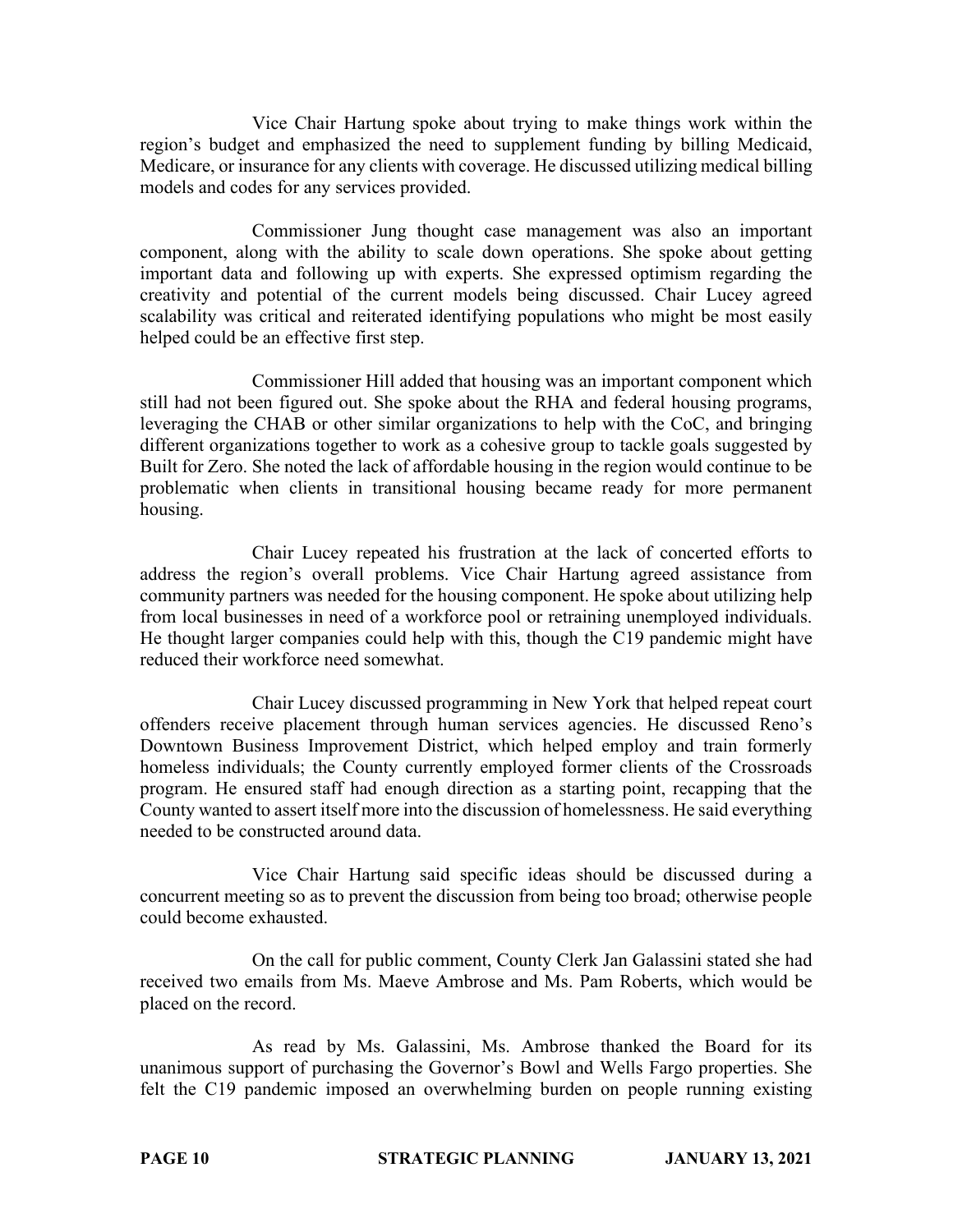Vice Chair Hartung spoke about trying to make things work within the region's budget and emphasized the need to supplement funding by billing Medicaid, Medicare, or insurance for any clients with coverage. He discussed utilizing medical billing models and codes for any services provided.

Commissioner Jung thought case management was also an important component, along with the ability to scale down operations. She spoke about getting important data and following up with experts. She expressed optimism regarding the creativity and potential of the current models being discussed. Chair Lucey agreed scalability was critical and reiterated identifying populations who might be most easily helped could be an effective first step.

Commissioner Hill added that housing was an important component which still had not been figured out. She spoke about the RHA and federal housing programs, leveraging the CHAB or other similar organizations to help with the CoC, and bringing different organizations together to work as a cohesive group to tackle goals suggested by Built for Zero. She noted the lack of affordable housing in the region would continue to be problematic when clients in transitional housing became ready for more permanent housing.

Chair Lucey repeated his frustration at the lack of concerted efforts to address the region's overall problems. Vice Chair Hartung agreed assistance from community partners was needed for the housing component. He spoke about utilizing help from local businesses in need of a workforce pool or retraining unemployed individuals. He thought larger companies could help with this, though the C19 pandemic might have reduced their workforce need somewhat.

Chair Lucey discussed programming in New York that helped repeat court offenders receive placement through human services agencies. He discussed Reno's Downtown Business Improvement District, which helped employ and train formerly homeless individuals; the County currently employed former clients of the Crossroads program. He ensured staff had enough direction as a starting point, recapping that the County wanted to assert itself more into the discussion of homelessness. He said everything needed to be constructed around data.

Vice Chair Hartung said specific ideas should be discussed during a concurrent meeting so as to prevent the discussion from being too broad; otherwise people could become exhausted.

On the call for public comment, County Clerk Jan Galassini stated she had received two emails from Ms. Maeve Ambrose and Ms. Pam Roberts, which would be placed on the record.

As read by Ms. Galassini, Ms. Ambrose thanked the Board for its unanimous support of purchasing the Governor's Bowl and Wells Fargo properties. She felt the C19 pandemic imposed an overwhelming burden on people running existing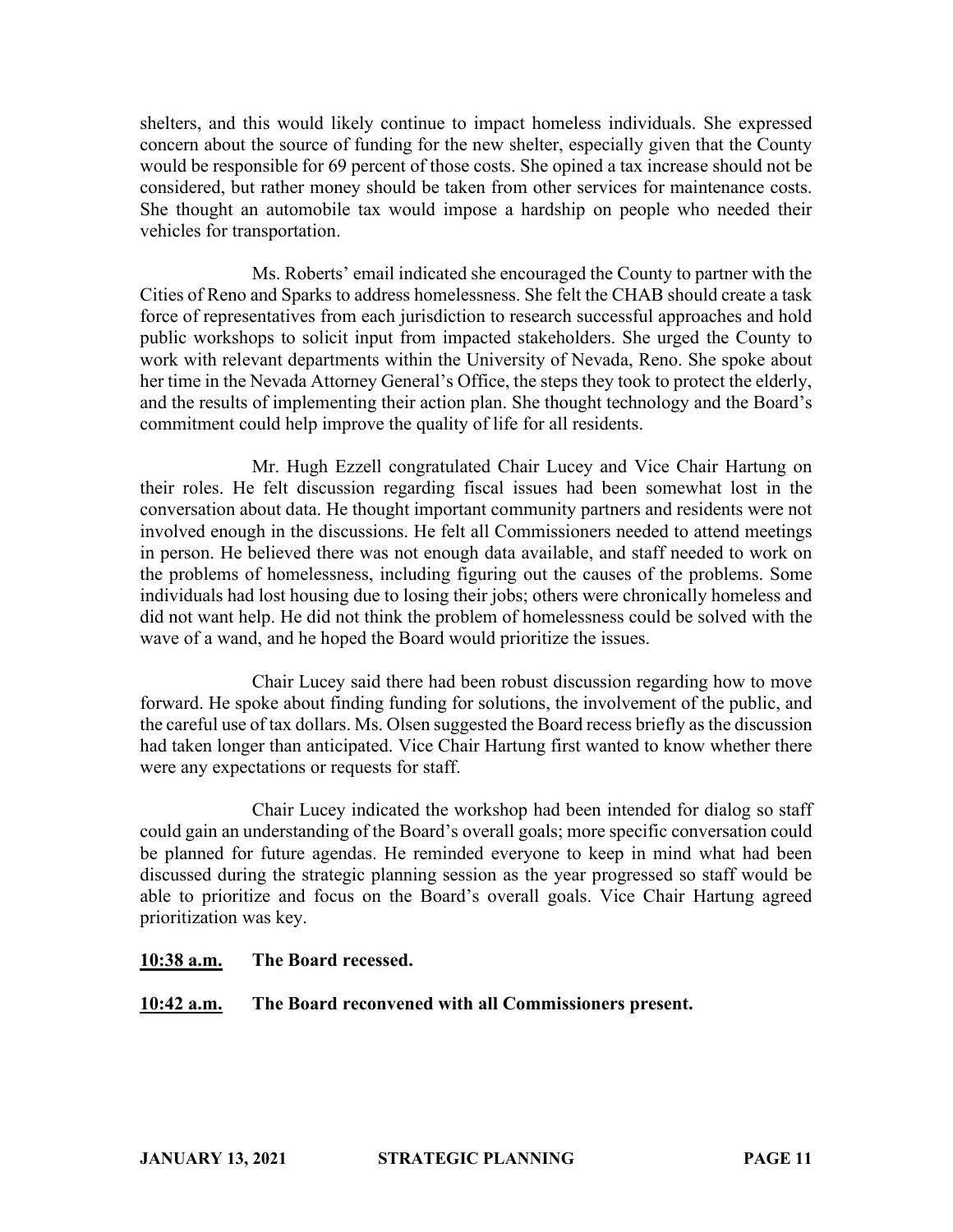shelters, and this would likely continue to impact homeless individuals. She expressed concern about the source of funding for the new shelter, especially given that the County would be responsible for 69 percent of those costs. She opined a tax increase should not be considered, but rather money should be taken from other services for maintenance costs. She thought an automobile tax would impose a hardship on people who needed their vehicles for transportation.

Ms. Roberts' email indicated she encouraged the County to partner with the Cities of Reno and Sparks to address homelessness. She felt the CHAB should create a task force of representatives from each jurisdiction to research successful approaches and hold public workshops to solicit input from impacted stakeholders. She urged the County to work with relevant departments within the University of Nevada, Reno. She spoke about her time in the Nevada Attorney General's Office, the steps they took to protect the elderly, and the results of implementing their action plan. She thought technology and the Board's commitment could help improve the quality of life for all residents.

Mr. Hugh Ezzell congratulated Chair Lucey and Vice Chair Hartung on their roles. He felt discussion regarding fiscal issues had been somewhat lost in the conversation about data. He thought important community partners and residents were not involved enough in the discussions. He felt all Commissioners needed to attend meetings in person. He believed there was not enough data available, and staff needed to work on the problems of homelessness, including figuring out the causes of the problems. Some individuals had lost housing due to losing their jobs; others were chronically homeless and did not want help. He did not think the problem of homelessness could be solved with the wave of a wand, and he hoped the Board would prioritize the issues.

Chair Lucey said there had been robust discussion regarding how to move forward. He spoke about finding funding for solutions, the involvement of the public, and the careful use of tax dollars. Ms. Olsen suggested the Board recess briefly as the discussion had taken longer than anticipated. Vice Chair Hartung first wanted to know whether there were any expectations or requests for staff.

Chair Lucey indicated the workshop had been intended for dialog so staff could gain an understanding of the Board's overall goals; more specific conversation could be planned for future agendas. He reminded everyone to keep in mind what had been discussed during the strategic planning session as the year progressed so staff would be able to prioritize and focus on the Board's overall goals. Vice Chair Hartung agreed prioritization was key.

## **10:38 a.m. The Board recessed.**

## **10:42 a.m. The Board reconvened with all Commissioners present.**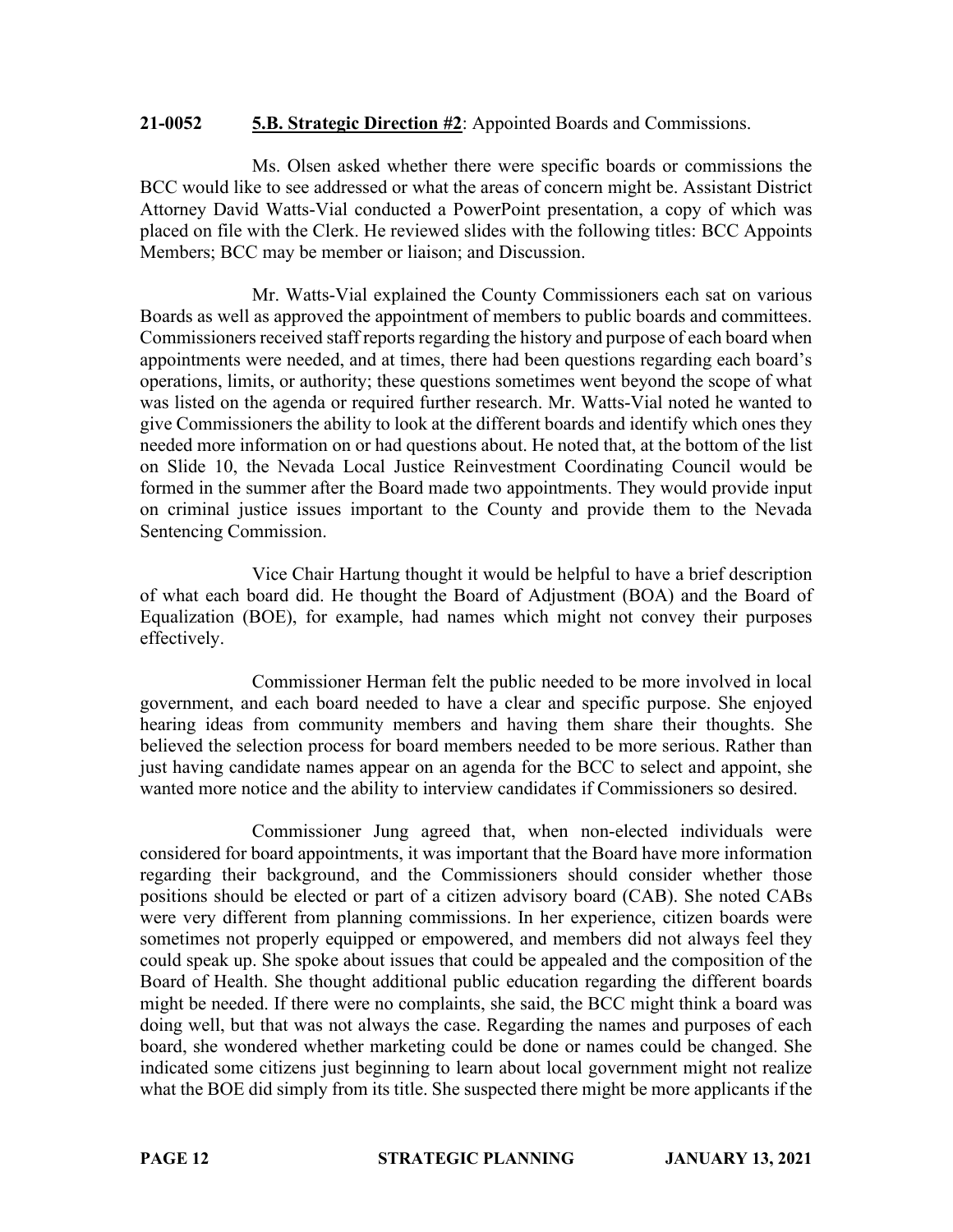#### **21-0052 5.B. Strategic Direction #2**: Appointed Boards and Commissions.

Ms. Olsen asked whether there were specific boards or commissions the BCC would like to see addressed or what the areas of concern might be. Assistant District Attorney David Watts-Vial conducted a PowerPoint presentation, a copy of which was placed on file with the Clerk. He reviewed slides with the following titles: BCC Appoints Members; BCC may be member or liaison; and Discussion.

Mr. Watts-Vial explained the County Commissioners each sat on various Boards as well as approved the appointment of members to public boards and committees. Commissioners received staff reports regarding the history and purpose of each board when appointments were needed, and at times, there had been questions regarding each board's operations, limits, or authority; these questions sometimes went beyond the scope of what was listed on the agenda or required further research. Mr. Watts-Vial noted he wanted to give Commissioners the ability to look at the different boards and identify which ones they needed more information on or had questions about. He noted that, at the bottom of the list on Slide 10, the Nevada Local Justice Reinvestment Coordinating Council would be formed in the summer after the Board made two appointments. They would provide input on criminal justice issues important to the County and provide them to the Nevada Sentencing Commission.

Vice Chair Hartung thought it would be helpful to have a brief description of what each board did. He thought the Board of Adjustment (BOA) and the Board of Equalization (BOE), for example, had names which might not convey their purposes effectively.

Commissioner Herman felt the public needed to be more involved in local government, and each board needed to have a clear and specific purpose. She enjoyed hearing ideas from community members and having them share their thoughts. She believed the selection process for board members needed to be more serious. Rather than just having candidate names appear on an agenda for the BCC to select and appoint, she wanted more notice and the ability to interview candidates if Commissioners so desired.

Commissioner Jung agreed that, when non-elected individuals were considered for board appointments, it was important that the Board have more information regarding their background, and the Commissioners should consider whether those positions should be elected or part of a citizen advisory board (CAB). She noted CABs were very different from planning commissions. In her experience, citizen boards were sometimes not properly equipped or empowered, and members did not always feel they could speak up. She spoke about issues that could be appealed and the composition of the Board of Health. She thought additional public education regarding the different boards might be needed. If there were no complaints, she said, the BCC might think a board was doing well, but that was not always the case. Regarding the names and purposes of each board, she wondered whether marketing could be done or names could be changed. She indicated some citizens just beginning to learn about local government might not realize what the BOE did simply from its title. She suspected there might be more applicants if the

**PAGE 12 STRATEGIC PLANNING JANUARY 13, 2021**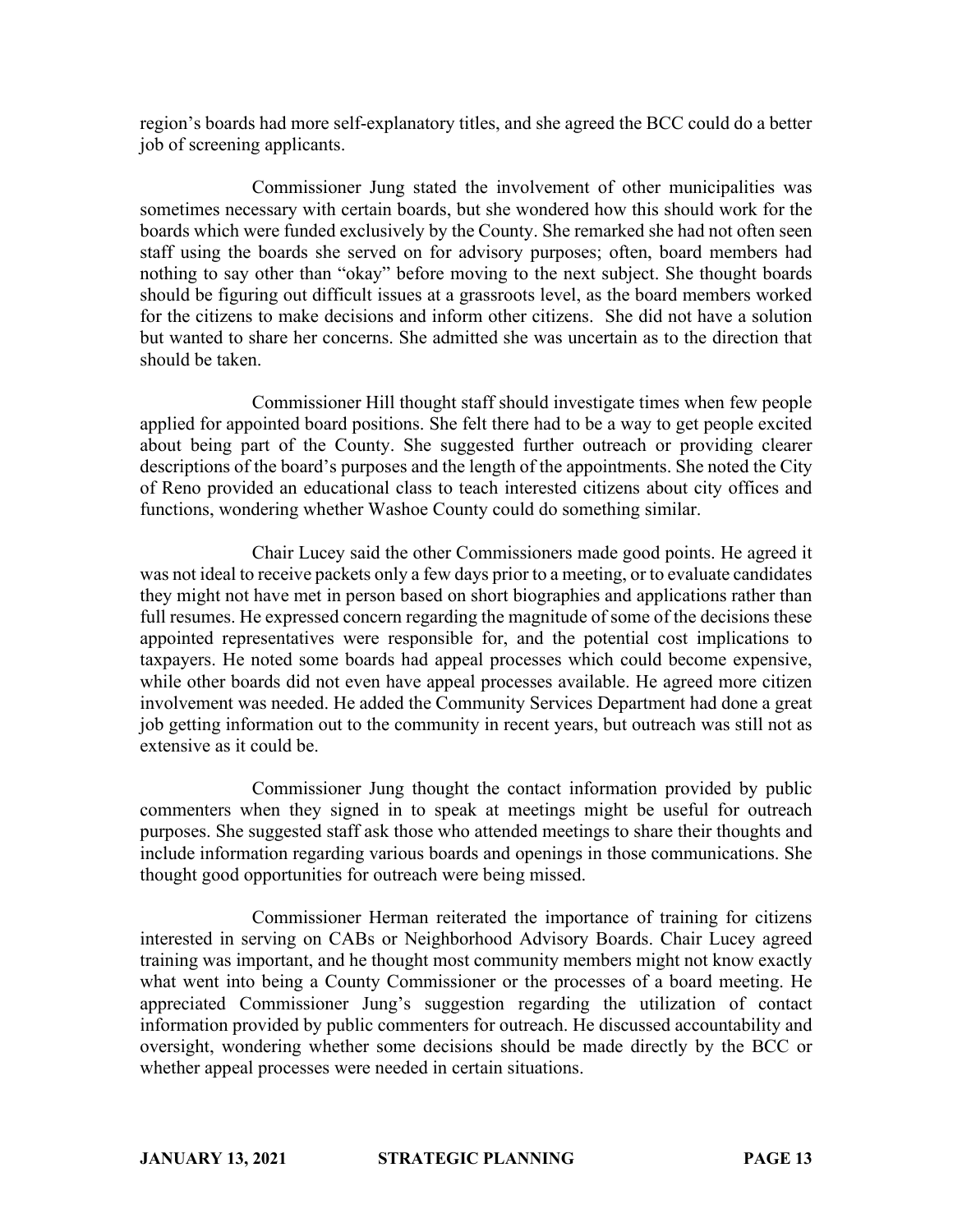region's boards had more self-explanatory titles, and she agreed the BCC could do a better job of screening applicants.

Commissioner Jung stated the involvement of other municipalities was sometimes necessary with certain boards, but she wondered how this should work for the boards which were funded exclusively by the County. She remarked she had not often seen staff using the boards she served on for advisory purposes; often, board members had nothing to say other than "okay" before moving to the next subject. She thought boards should be figuring out difficult issues at a grassroots level, as the board members worked for the citizens to make decisions and inform other citizens. She did not have a solution but wanted to share her concerns. She admitted she was uncertain as to the direction that should be taken.

Commissioner Hill thought staff should investigate times when few people applied for appointed board positions. She felt there had to be a way to get people excited about being part of the County. She suggested further outreach or providing clearer descriptions of the board's purposes and the length of the appointments. She noted the City of Reno provided an educational class to teach interested citizens about city offices and functions, wondering whether Washoe County could do something similar.

Chair Lucey said the other Commissioners made good points. He agreed it was not ideal to receive packets only a few days prior to a meeting, or to evaluate candidates they might not have met in person based on short biographies and applications rather than full resumes. He expressed concern regarding the magnitude of some of the decisions these appointed representatives were responsible for, and the potential cost implications to taxpayers. He noted some boards had appeal processes which could become expensive, while other boards did not even have appeal processes available. He agreed more citizen involvement was needed. He added the Community Services Department had done a great job getting information out to the community in recent years, but outreach was still not as extensive as it could be.

Commissioner Jung thought the contact information provided by public commenters when they signed in to speak at meetings might be useful for outreach purposes. She suggested staff ask those who attended meetings to share their thoughts and include information regarding various boards and openings in those communications. She thought good opportunities for outreach were being missed.

Commissioner Herman reiterated the importance of training for citizens interested in serving on CABs or Neighborhood Advisory Boards. Chair Lucey agreed training was important, and he thought most community members might not know exactly what went into being a County Commissioner or the processes of a board meeting. He appreciated Commissioner Jung's suggestion regarding the utilization of contact information provided by public commenters for outreach. He discussed accountability and oversight, wondering whether some decisions should be made directly by the BCC or whether appeal processes were needed in certain situations.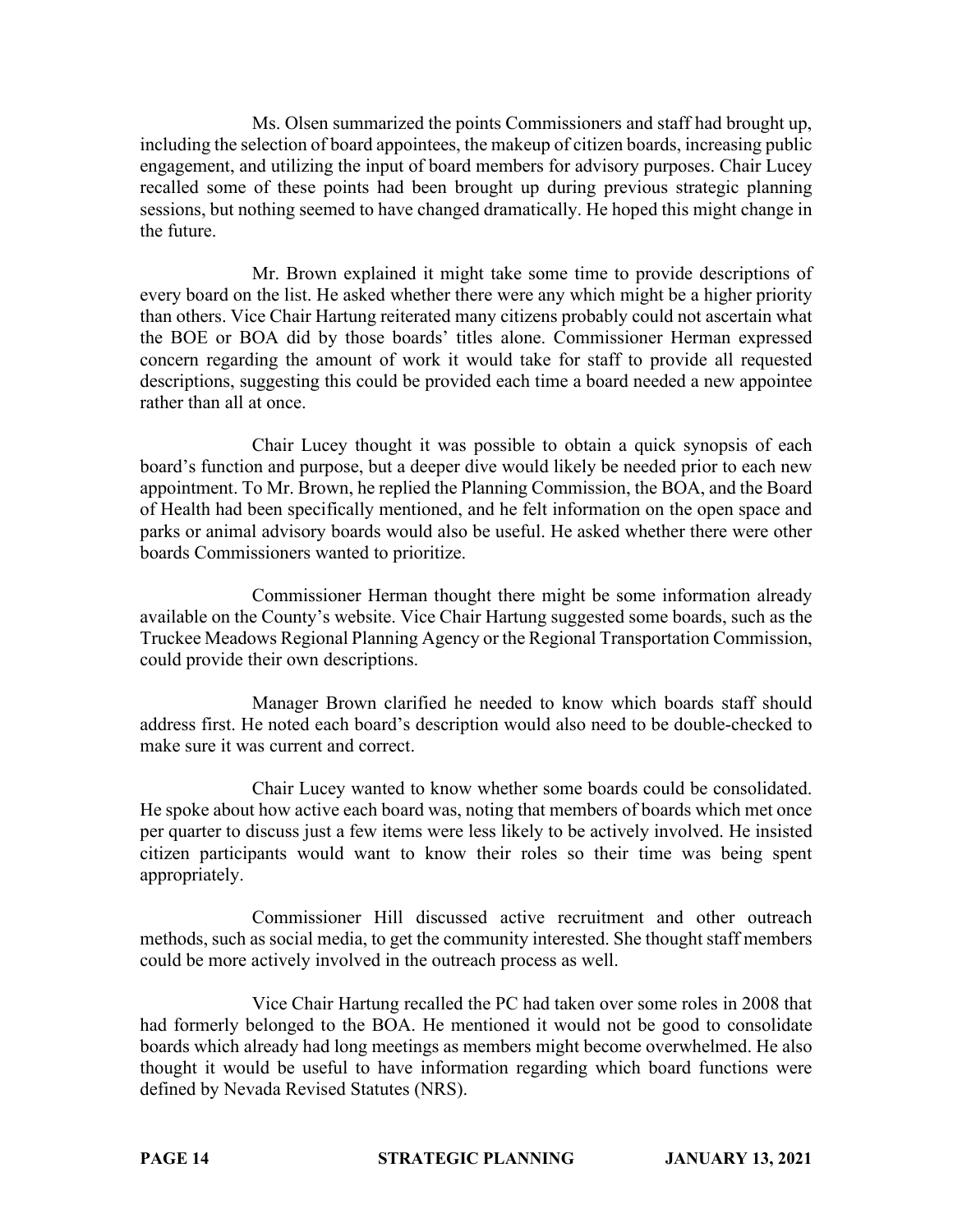Ms. Olsen summarized the points Commissioners and staff had brought up, including the selection of board appointees, the makeup of citizen boards, increasing public engagement, and utilizing the input of board members for advisory purposes. Chair Lucey recalled some of these points had been brought up during previous strategic planning sessions, but nothing seemed to have changed dramatically. He hoped this might change in the future.

Mr. Brown explained it might take some time to provide descriptions of every board on the list. He asked whether there were any which might be a higher priority than others. Vice Chair Hartung reiterated many citizens probably could not ascertain what the BOE or BOA did by those boards' titles alone. Commissioner Herman expressed concern regarding the amount of work it would take for staff to provide all requested descriptions, suggesting this could be provided each time a board needed a new appointee rather than all at once.

Chair Lucey thought it was possible to obtain a quick synopsis of each board's function and purpose, but a deeper dive would likely be needed prior to each new appointment. To Mr. Brown, he replied the Planning Commission, the BOA, and the Board of Health had been specifically mentioned, and he felt information on the open space and parks or animal advisory boards would also be useful. He asked whether there were other boards Commissioners wanted to prioritize.

Commissioner Herman thought there might be some information already available on the County's website. Vice Chair Hartung suggested some boards, such as the Truckee Meadows Regional Planning Agency or the Regional Transportation Commission, could provide their own descriptions.

Manager Brown clarified he needed to know which boards staff should address first. He noted each board's description would also need to be double-checked to make sure it was current and correct.

Chair Lucey wanted to know whether some boards could be consolidated. He spoke about how active each board was, noting that members of boards which met once per quarter to discuss just a few items were less likely to be actively involved. He insisted citizen participants would want to know their roles so their time was being spent appropriately.

Commissioner Hill discussed active recruitment and other outreach methods, such as social media, to get the community interested. She thought staff members could be more actively involved in the outreach process as well.

Vice Chair Hartung recalled the PC had taken over some roles in 2008 that had formerly belonged to the BOA. He mentioned it would not be good to consolidate boards which already had long meetings as members might become overwhelmed. He also thought it would be useful to have information regarding which board functions were defined by Nevada Revised Statutes (NRS).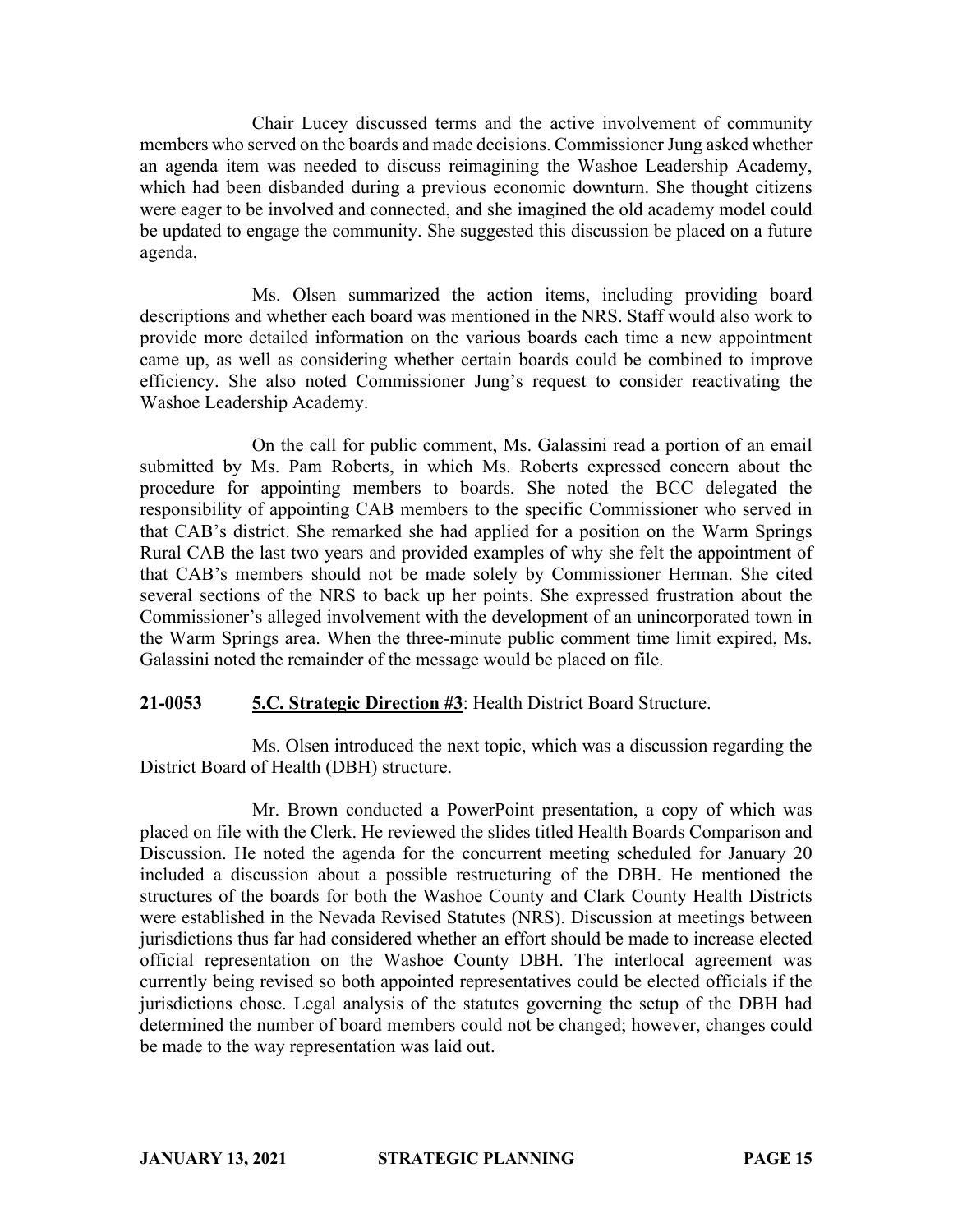Chair Lucey discussed terms and the active involvement of community members who served on the boards and made decisions. Commissioner Jung asked whether an agenda item was needed to discuss reimagining the Washoe Leadership Academy, which had been disbanded during a previous economic downturn. She thought citizens were eager to be involved and connected, and she imagined the old academy model could be updated to engage the community. She suggested this discussion be placed on a future agenda.

Ms. Olsen summarized the action items, including providing board descriptions and whether each board was mentioned in the NRS. Staff would also work to provide more detailed information on the various boards each time a new appointment came up, as well as considering whether certain boards could be combined to improve efficiency. She also noted Commissioner Jung's request to consider reactivating the Washoe Leadership Academy.

On the call for public comment, Ms. Galassini read a portion of an email submitted by Ms. Pam Roberts, in which Ms. Roberts expressed concern about the procedure for appointing members to boards. She noted the BCC delegated the responsibility of appointing CAB members to the specific Commissioner who served in that CAB's district. She remarked she had applied for a position on the Warm Springs Rural CAB the last two years and provided examples of why she felt the appointment of that CAB's members should not be made solely by Commissioner Herman. She cited several sections of the NRS to back up her points. She expressed frustration about the Commissioner's alleged involvement with the development of an unincorporated town in the Warm Springs area. When the three-minute public comment time limit expired, Ms. Galassini noted the remainder of the message would be placed on file.

# **21-0053 5.C. Strategic Direction #3**: Health District Board Structure.

Ms. Olsen introduced the next topic, which was a discussion regarding the District Board of Health (DBH) structure.

Mr. Brown conducted a PowerPoint presentation, a copy of which was placed on file with the Clerk. He reviewed the slides titled Health Boards Comparison and Discussion. He noted the agenda for the concurrent meeting scheduled for January 20 included a discussion about a possible restructuring of the DBH. He mentioned the structures of the boards for both the Washoe County and Clark County Health Districts were established in the Nevada Revised Statutes (NRS). Discussion at meetings between jurisdictions thus far had considered whether an effort should be made to increase elected official representation on the Washoe County DBH. The interlocal agreement was currently being revised so both appointed representatives could be elected officials if the jurisdictions chose. Legal analysis of the statutes governing the setup of the DBH had determined the number of board members could not be changed; however, changes could be made to the way representation was laid out.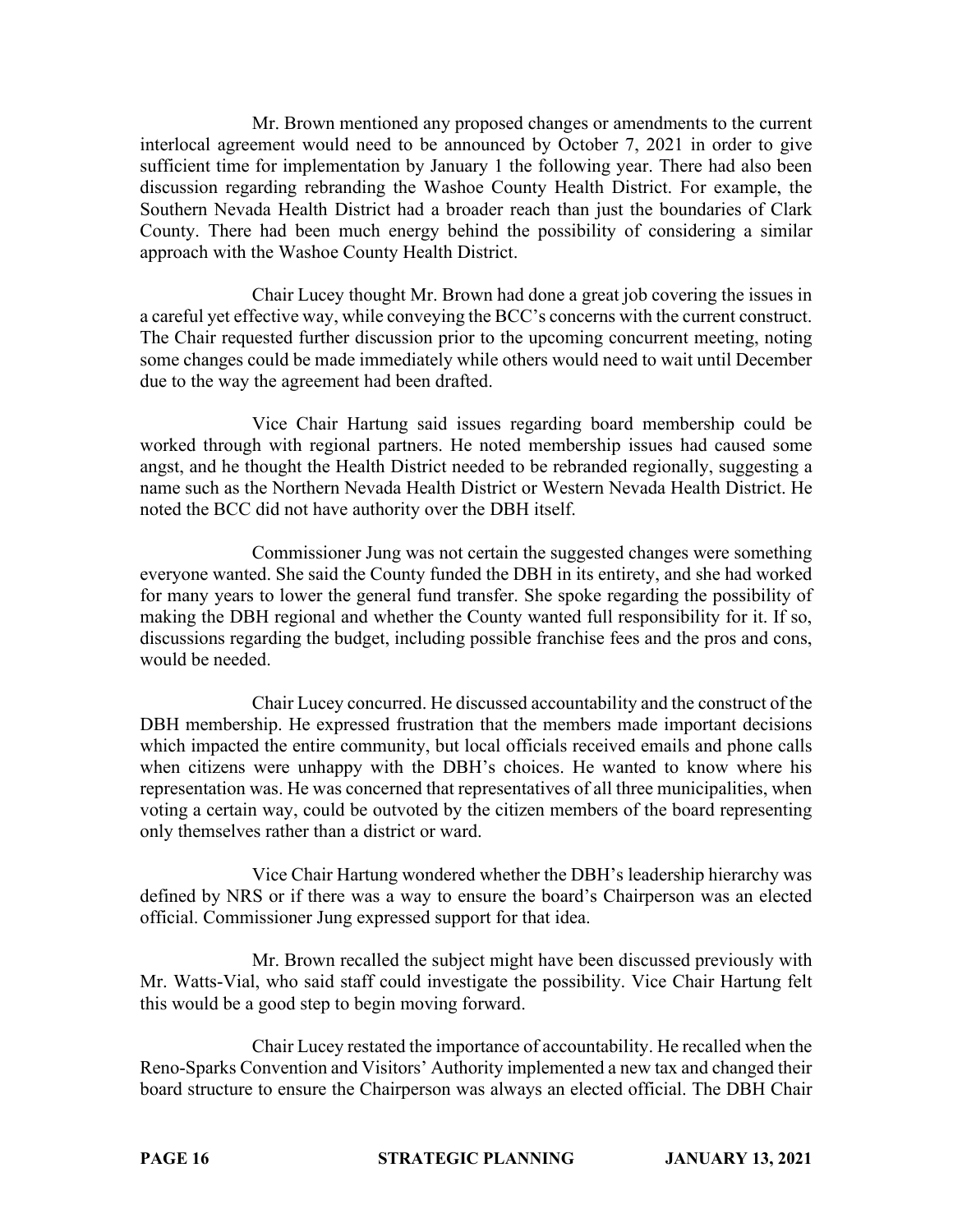Mr. Brown mentioned any proposed changes or amendments to the current interlocal agreement would need to be announced by October 7, 2021 in order to give sufficient time for implementation by January 1 the following year. There had also been discussion regarding rebranding the Washoe County Health District. For example, the Southern Nevada Health District had a broader reach than just the boundaries of Clark County. There had been much energy behind the possibility of considering a similar approach with the Washoe County Health District.

Chair Lucey thought Mr. Brown had done a great job covering the issues in a careful yet effective way, while conveying the BCC's concerns with the current construct. The Chair requested further discussion prior to the upcoming concurrent meeting, noting some changes could be made immediately while others would need to wait until December due to the way the agreement had been drafted.

Vice Chair Hartung said issues regarding board membership could be worked through with regional partners. He noted membership issues had caused some angst, and he thought the Health District needed to be rebranded regionally, suggesting a name such as the Northern Nevada Health District or Western Nevada Health District. He noted the BCC did not have authority over the DBH itself.

Commissioner Jung was not certain the suggested changes were something everyone wanted. She said the County funded the DBH in its entirety, and she had worked for many years to lower the general fund transfer. She spoke regarding the possibility of making the DBH regional and whether the County wanted full responsibility for it. If so, discussions regarding the budget, including possible franchise fees and the pros and cons, would be needed.

Chair Lucey concurred. He discussed accountability and the construct of the DBH membership. He expressed frustration that the members made important decisions which impacted the entire community, but local officials received emails and phone calls when citizens were unhappy with the DBH's choices. He wanted to know where his representation was. He was concerned that representatives of all three municipalities, when voting a certain way, could be outvoted by the citizen members of the board representing only themselves rather than a district or ward.

Vice Chair Hartung wondered whether the DBH's leadership hierarchy was defined by NRS or if there was a way to ensure the board's Chairperson was an elected official. Commissioner Jung expressed support for that idea.

Mr. Brown recalled the subject might have been discussed previously with Mr. Watts-Vial, who said staff could investigate the possibility. Vice Chair Hartung felt this would be a good step to begin moving forward.

Chair Lucey restated the importance of accountability. He recalled when the Reno-Sparks Convention and Visitors' Authority implemented a new tax and changed their board structure to ensure the Chairperson was always an elected official. The DBH Chair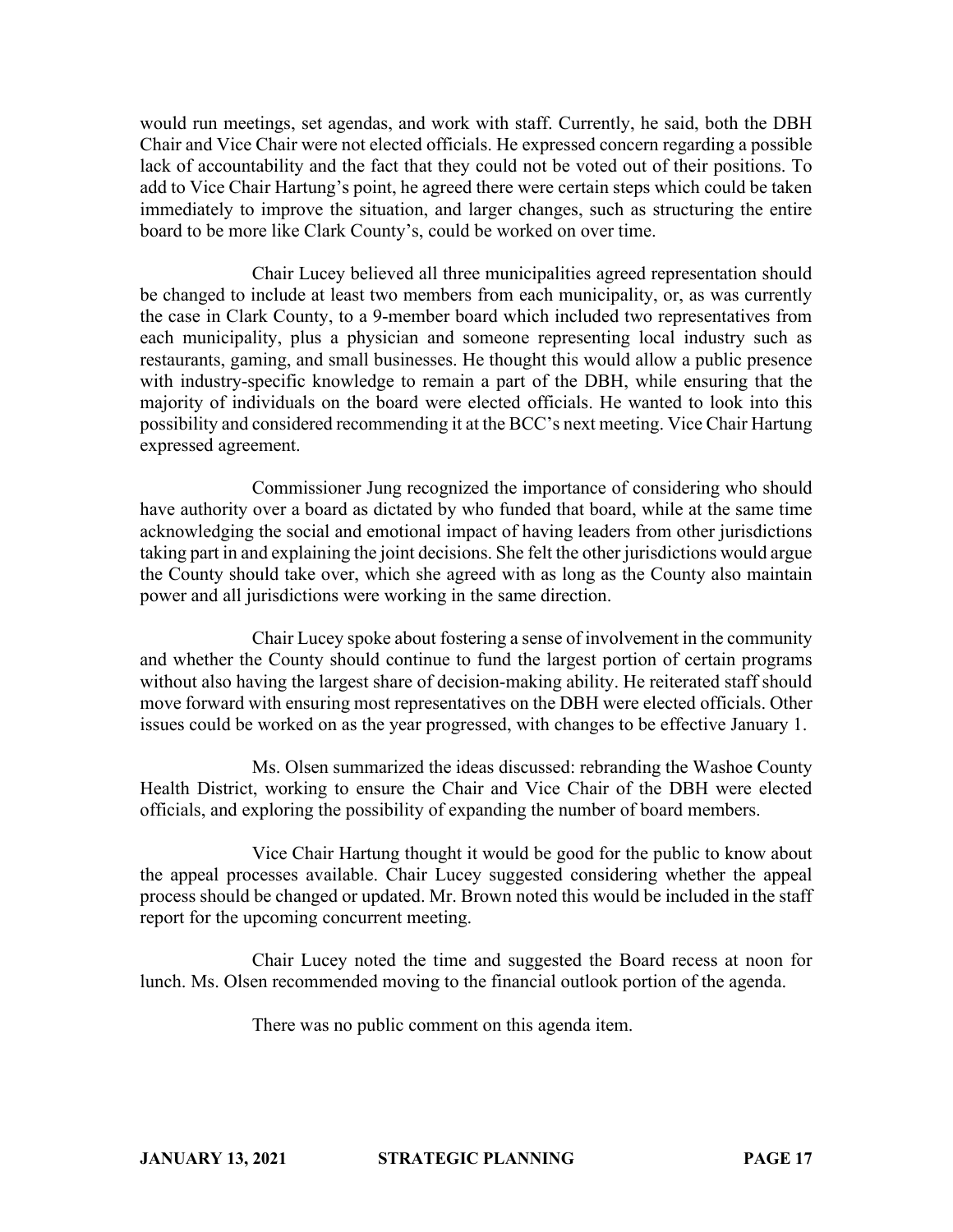would run meetings, set agendas, and work with staff. Currently, he said, both the DBH Chair and Vice Chair were not elected officials. He expressed concern regarding a possible lack of accountability and the fact that they could not be voted out of their positions. To add to Vice Chair Hartung's point, he agreed there were certain steps which could be taken immediately to improve the situation, and larger changes, such as structuring the entire board to be more like Clark County's, could be worked on over time.

Chair Lucey believed all three municipalities agreed representation should be changed to include at least two members from each municipality, or, as was currently the case in Clark County, to a 9-member board which included two representatives from each municipality, plus a physician and someone representing local industry such as restaurants, gaming, and small businesses. He thought this would allow a public presence with industry-specific knowledge to remain a part of the DBH, while ensuring that the majority of individuals on the board were elected officials. He wanted to look into this possibility and considered recommending it at the BCC's next meeting. Vice Chair Hartung expressed agreement.

Commissioner Jung recognized the importance of considering who should have authority over a board as dictated by who funded that board, while at the same time acknowledging the social and emotional impact of having leaders from other jurisdictions taking part in and explaining the joint decisions. She felt the other jurisdictions would argue the County should take over, which she agreed with as long as the County also maintain power and all jurisdictions were working in the same direction.

Chair Lucey spoke about fostering a sense of involvement in the community and whether the County should continue to fund the largest portion of certain programs without also having the largest share of decision-making ability. He reiterated staff should move forward with ensuring most representatives on the DBH were elected officials. Other issues could be worked on as the year progressed, with changes to be effective January 1.

Ms. Olsen summarized the ideas discussed: rebranding the Washoe County Health District, working to ensure the Chair and Vice Chair of the DBH were elected officials, and exploring the possibility of expanding the number of board members.

Vice Chair Hartung thought it would be good for the public to know about the appeal processes available. Chair Lucey suggested considering whether the appeal process should be changed or updated. Mr. Brown noted this would be included in the staff report for the upcoming concurrent meeting.

Chair Lucey noted the time and suggested the Board recess at noon for lunch. Ms. Olsen recommended moving to the financial outlook portion of the agenda.

There was no public comment on this agenda item.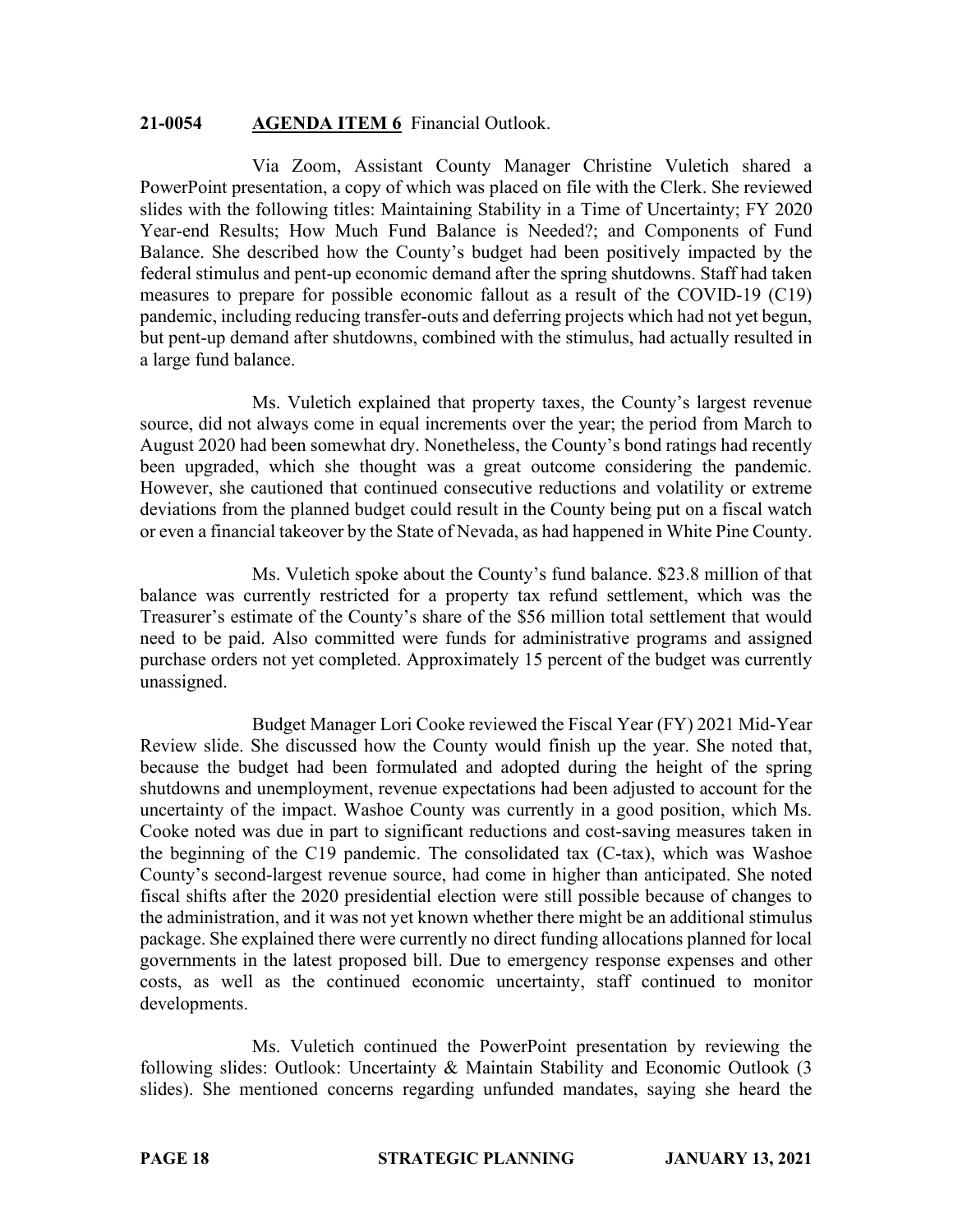#### **21-0054 AGENDA ITEM 6** Financial Outlook.

Via Zoom, Assistant County Manager Christine Vuletich shared a PowerPoint presentation, a copy of which was placed on file with the Clerk. She reviewed slides with the following titles: Maintaining Stability in a Time of Uncertainty; FY 2020 Year-end Results; How Much Fund Balance is Needed?; and Components of Fund Balance. She described how the County's budget had been positively impacted by the federal stimulus and pent-up economic demand after the spring shutdowns. Staff had taken measures to prepare for possible economic fallout as a result of the COVID-19 (C19) pandemic, including reducing transfer-outs and deferring projects which had not yet begun, but pent-up demand after shutdowns, combined with the stimulus, had actually resulted in a large fund balance.

Ms. Vuletich explained that property taxes, the County's largest revenue source, did not always come in equal increments over the year; the period from March to August 2020 had been somewhat dry. Nonetheless, the County's bond ratings had recently been upgraded, which she thought was a great outcome considering the pandemic. However, she cautioned that continued consecutive reductions and volatility or extreme deviations from the planned budget could result in the County being put on a fiscal watch or even a financial takeover by the State of Nevada, as had happened in White Pine County.

Ms. Vuletich spoke about the County's fund balance. \$23.8 million of that balance was currently restricted for a property tax refund settlement, which was the Treasurer's estimate of the County's share of the \$56 million total settlement that would need to be paid. Also committed were funds for administrative programs and assigned purchase orders not yet completed. Approximately 15 percent of the budget was currently unassigned.

Budget Manager Lori Cooke reviewed the Fiscal Year (FY) 2021 Mid-Year Review slide. She discussed how the County would finish up the year. She noted that, because the budget had been formulated and adopted during the height of the spring shutdowns and unemployment, revenue expectations had been adjusted to account for the uncertainty of the impact. Washoe County was currently in a good position, which Ms. Cooke noted was due in part to significant reductions and cost-saving measures taken in the beginning of the C19 pandemic. The consolidated tax (C-tax), which was Washoe County's second-largest revenue source, had come in higher than anticipated. She noted fiscal shifts after the 2020 presidential election were still possible because of changes to the administration, and it was not yet known whether there might be an additional stimulus package. She explained there were currently no direct funding allocations planned for local governments in the latest proposed bill. Due to emergency response expenses and other costs, as well as the continued economic uncertainty, staff continued to monitor developments.

Ms. Vuletich continued the PowerPoint presentation by reviewing the following slides: Outlook: Uncertainty & Maintain Stability and Economic Outlook (3 slides). She mentioned concerns regarding unfunded mandates, saying she heard the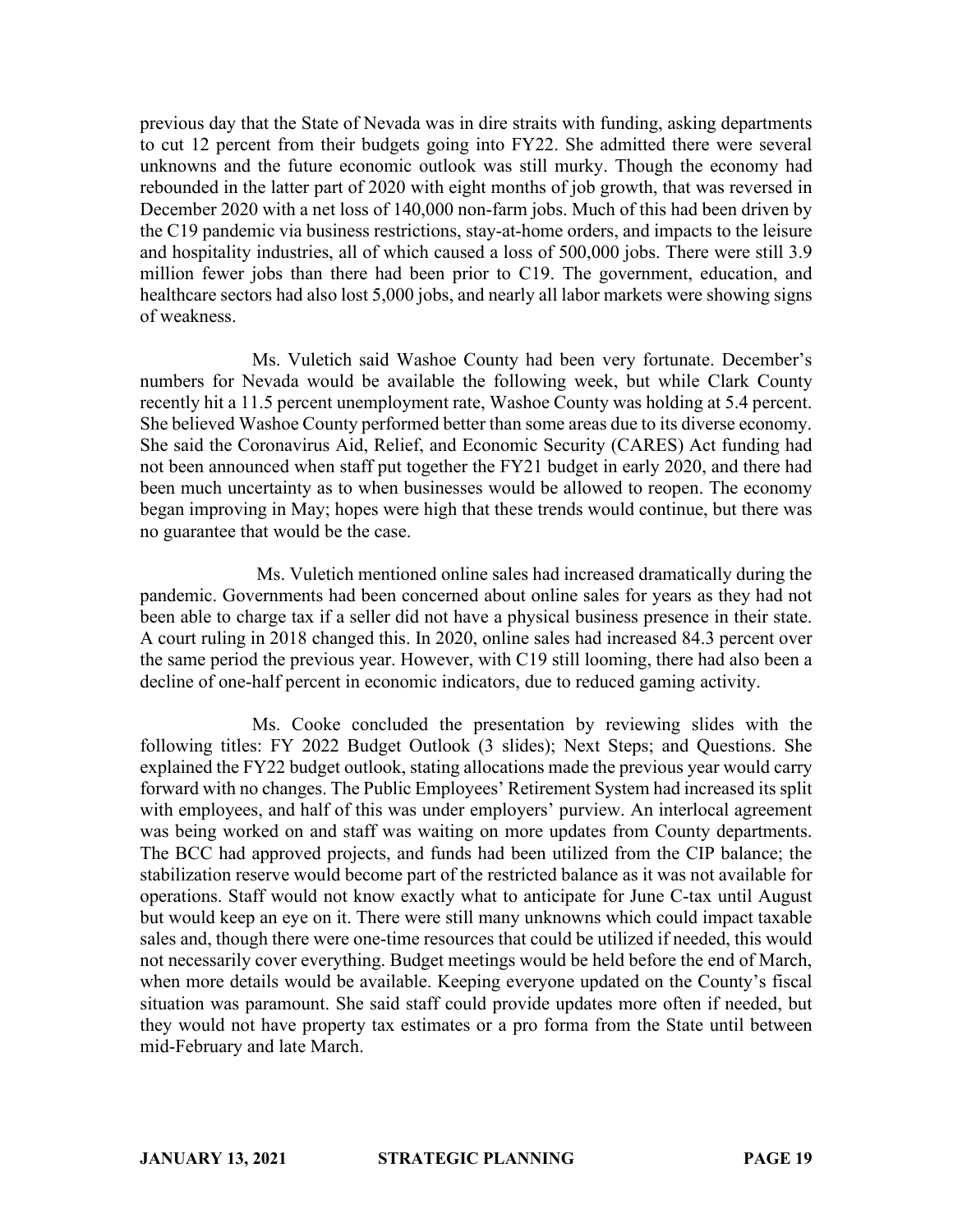previous day that the State of Nevada was in dire straits with funding, asking departments to cut 12 percent from their budgets going into FY22. She admitted there were several unknowns and the future economic outlook was still murky. Though the economy had rebounded in the latter part of 2020 with eight months of job growth, that was reversed in December 2020 with a net loss of 140,000 non-farm jobs. Much of this had been driven by the C19 pandemic via business restrictions, stay-at-home orders, and impacts to the leisure and hospitality industries, all of which caused a loss of 500,000 jobs. There were still 3.9 million fewer jobs than there had been prior to C19. The government, education, and healthcare sectors had also lost 5,000 jobs, and nearly all labor markets were showing signs of weakness.

Ms. Vuletich said Washoe County had been very fortunate. December's numbers for Nevada would be available the following week, but while Clark County recently hit a 11.5 percent unemployment rate, Washoe County was holding at 5.4 percent. She believed Washoe County performed better than some areas due to its diverse economy. She said the Coronavirus Aid, Relief, and Economic Security (CARES) Act funding had not been announced when staff put together the FY21 budget in early 2020, and there had been much uncertainty as to when businesses would be allowed to reopen. The economy began improving in May; hopes were high that these trends would continue, but there was no guarantee that would be the case.

Ms. Vuletich mentioned online sales had increased dramatically during the pandemic. Governments had been concerned about online sales for years as they had not been able to charge tax if a seller did not have a physical business presence in their state. A court ruling in 2018 changed this. In 2020, online sales had increased 84.3 percent over the same period the previous year. However, with C19 still looming, there had also been a decline of one-half percent in economic indicators, due to reduced gaming activity.

Ms. Cooke concluded the presentation by reviewing slides with the following titles: FY 2022 Budget Outlook (3 slides); Next Steps; and Questions. She explained the FY22 budget outlook, stating allocations made the previous year would carry forward with no changes. The Public Employees' Retirement System had increased its split with employees, and half of this was under employers' purview. An interlocal agreement was being worked on and staff was waiting on more updates from County departments. The BCC had approved projects, and funds had been utilized from the CIP balance; the stabilization reserve would become part of the restricted balance as it was not available for operations. Staff would not know exactly what to anticipate for June C-tax until August but would keep an eye on it. There were still many unknowns which could impact taxable sales and, though there were one-time resources that could be utilized if needed, this would not necessarily cover everything. Budget meetings would be held before the end of March, when more details would be available. Keeping everyone updated on the County's fiscal situation was paramount. She said staff could provide updates more often if needed, but they would not have property tax estimates or a pro forma from the State until between mid-February and late March.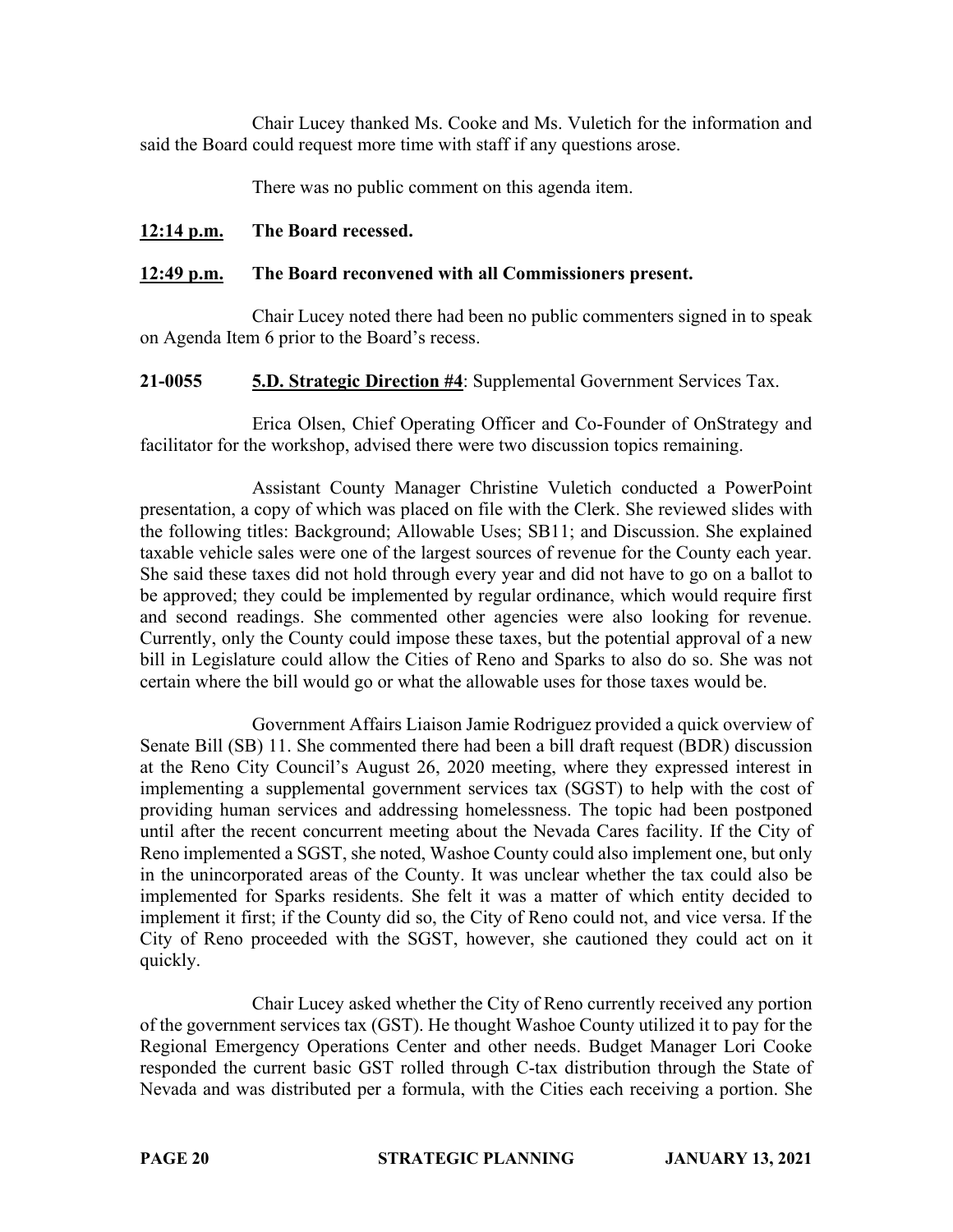Chair Lucey thanked Ms. Cooke and Ms. Vuletich for the information and said the Board could request more time with staff if any questions arose.

There was no public comment on this agenda item.

# **12:14 p.m. The Board recessed.**

## **12:49 p.m. The Board reconvened with all Commissioners present.**

Chair Lucey noted there had been no public commenters signed in to speak on Agenda Item 6 prior to the Board's recess.

**21-0055 5.D. Strategic Direction #4**: Supplemental Government Services Tax.

Erica Olsen, Chief Operating Officer and Co-Founder of OnStrategy and facilitator for the workshop, advised there were two discussion topics remaining.

Assistant County Manager Christine Vuletich conducted a PowerPoint presentation, a copy of which was placed on file with the Clerk. She reviewed slides with the following titles: Background; Allowable Uses; SB11; and Discussion. She explained taxable vehicle sales were one of the largest sources of revenue for the County each year. She said these taxes did not hold through every year and did not have to go on a ballot to be approved; they could be implemented by regular ordinance, which would require first and second readings. She commented other agencies were also looking for revenue. Currently, only the County could impose these taxes, but the potential approval of a new bill in Legislature could allow the Cities of Reno and Sparks to also do so. She was not certain where the bill would go or what the allowable uses for those taxes would be.

Government Affairs Liaison Jamie Rodriguez provided a quick overview of Senate Bill (SB) 11. She commented there had been a bill draft request (BDR) discussion at the Reno City Council's August 26, 2020 meeting, where they expressed interest in implementing a supplemental government services tax (SGST) to help with the cost of providing human services and addressing homelessness. The topic had been postponed until after the recent concurrent meeting about the Nevada Cares facility. If the City of Reno implemented a SGST, she noted, Washoe County could also implement one, but only in the unincorporated areas of the County. It was unclear whether the tax could also be implemented for Sparks residents. She felt it was a matter of which entity decided to implement it first; if the County did so, the City of Reno could not, and vice versa. If the City of Reno proceeded with the SGST, however, she cautioned they could act on it quickly.

Chair Lucey asked whether the City of Reno currently received any portion of the government services tax (GST). He thought Washoe County utilized it to pay for the Regional Emergency Operations Center and other needs. Budget Manager Lori Cooke responded the current basic GST rolled through C-tax distribution through the State of Nevada and was distributed per a formula, with the Cities each receiving a portion. She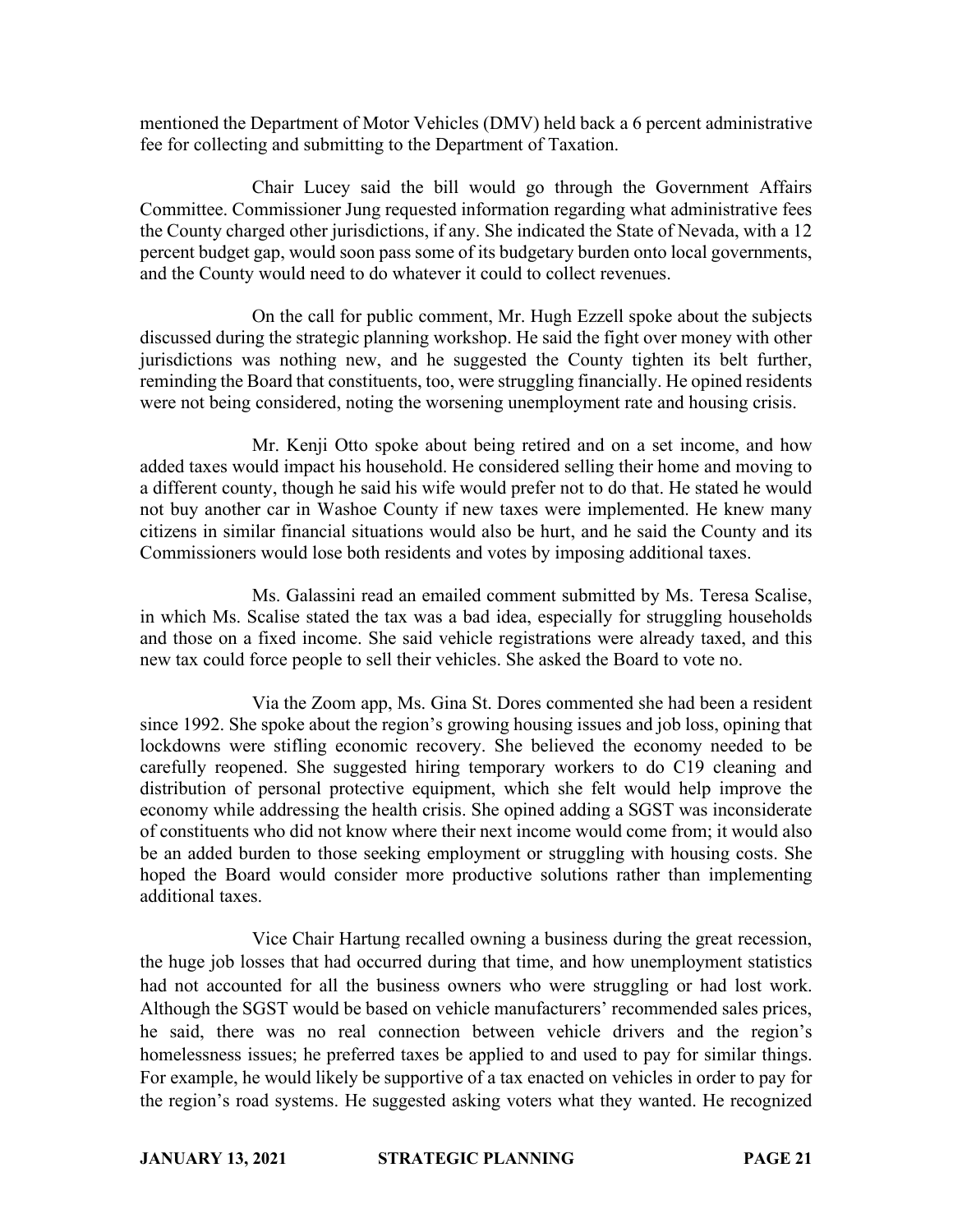mentioned the Department of Motor Vehicles (DMV) held back a 6 percent administrative fee for collecting and submitting to the Department of Taxation.

Chair Lucey said the bill would go through the Government Affairs Committee. Commissioner Jung requested information regarding what administrative fees the County charged other jurisdictions, if any. She indicated the State of Nevada, with a 12 percent budget gap, would soon pass some of its budgetary burden onto local governments, and the County would need to do whatever it could to collect revenues.

On the call for public comment, Mr. Hugh Ezzell spoke about the subjects discussed during the strategic planning workshop. He said the fight over money with other jurisdictions was nothing new, and he suggested the County tighten its belt further, reminding the Board that constituents, too, were struggling financially. He opined residents were not being considered, noting the worsening unemployment rate and housing crisis.

Mr. Kenji Otto spoke about being retired and on a set income, and how added taxes would impact his household. He considered selling their home and moving to a different county, though he said his wife would prefer not to do that. He stated he would not buy another car in Washoe County if new taxes were implemented. He knew many citizens in similar financial situations would also be hurt, and he said the County and its Commissioners would lose both residents and votes by imposing additional taxes.

Ms. Galassini read an emailed comment submitted by Ms. Teresa Scalise, in which Ms. Scalise stated the tax was a bad idea, especially for struggling households and those on a fixed income. She said vehicle registrations were already taxed, and this new tax could force people to sell their vehicles. She asked the Board to vote no.

Via the Zoom app, Ms. Gina St. Dores commented she had been a resident since 1992. She spoke about the region's growing housing issues and job loss, opining that lockdowns were stifling economic recovery. She believed the economy needed to be carefully reopened. She suggested hiring temporary workers to do C19 cleaning and distribution of personal protective equipment, which she felt would help improve the economy while addressing the health crisis. She opined adding a SGST was inconsiderate of constituents who did not know where their next income would come from; it would also be an added burden to those seeking employment or struggling with housing costs. She hoped the Board would consider more productive solutions rather than implementing additional taxes.

Vice Chair Hartung recalled owning a business during the great recession, the huge job losses that had occurred during that time, and how unemployment statistics had not accounted for all the business owners who were struggling or had lost work. Although the SGST would be based on vehicle manufacturers' recommended sales prices, he said, there was no real connection between vehicle drivers and the region's homelessness issues; he preferred taxes be applied to and used to pay for similar things. For example, he would likely be supportive of a tax enacted on vehicles in order to pay for the region's road systems. He suggested asking voters what they wanted. He recognized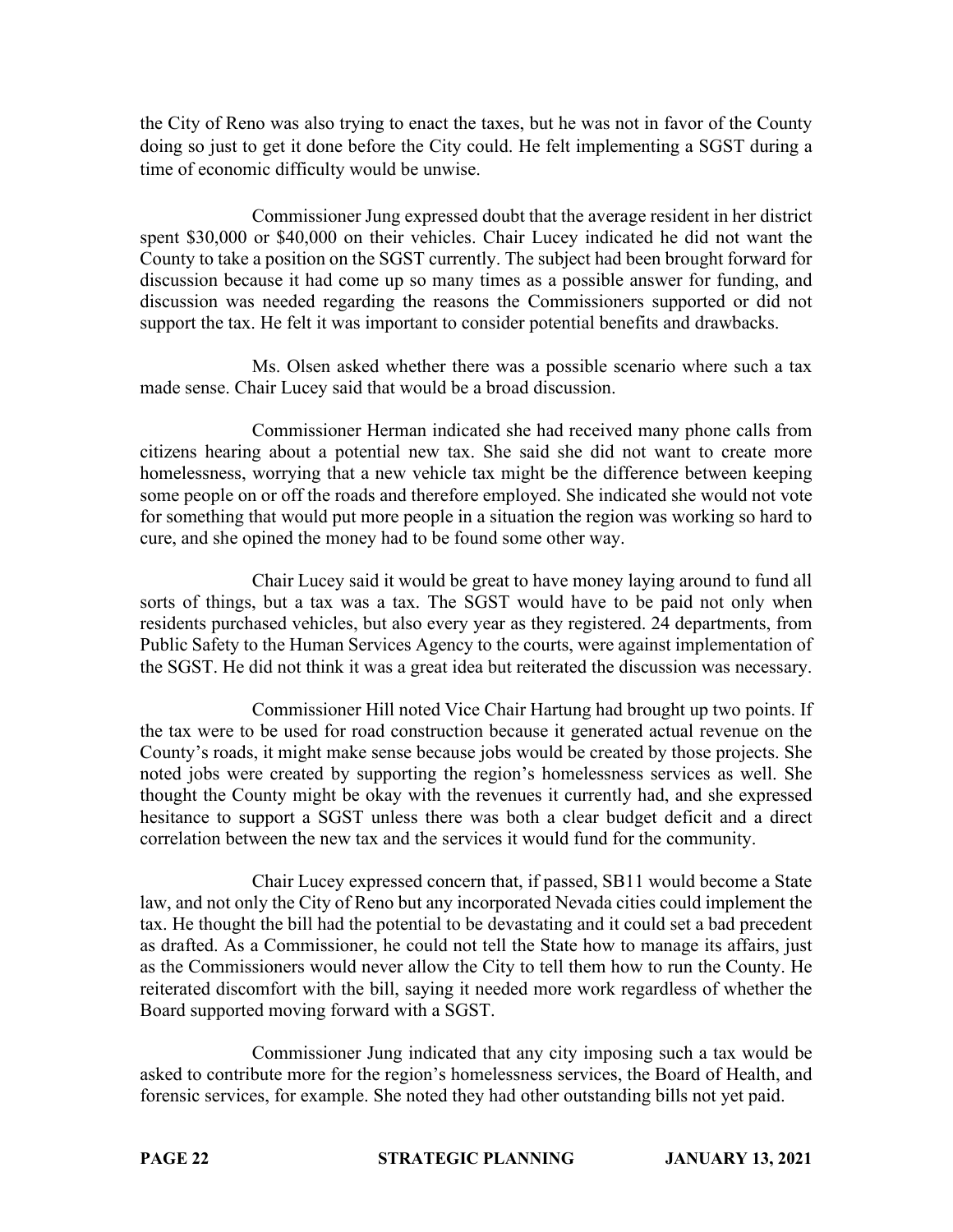the City of Reno was also trying to enact the taxes, but he was not in favor of the County doing so just to get it done before the City could. He felt implementing a SGST during a time of economic difficulty would be unwise.

Commissioner Jung expressed doubt that the average resident in her district spent \$30,000 or \$40,000 on their vehicles. Chair Lucey indicated he did not want the County to take a position on the SGST currently. The subject had been brought forward for discussion because it had come up so many times as a possible answer for funding, and discussion was needed regarding the reasons the Commissioners supported or did not support the tax. He felt it was important to consider potential benefits and drawbacks.

Ms. Olsen asked whether there was a possible scenario where such a tax made sense. Chair Lucey said that would be a broad discussion.

Commissioner Herman indicated she had received many phone calls from citizens hearing about a potential new tax. She said she did not want to create more homelessness, worrying that a new vehicle tax might be the difference between keeping some people on or off the roads and therefore employed. She indicated she would not vote for something that would put more people in a situation the region was working so hard to cure, and she opined the money had to be found some other way.

Chair Lucey said it would be great to have money laying around to fund all sorts of things, but a tax was a tax. The SGST would have to be paid not only when residents purchased vehicles, but also every year as they registered. 24 departments, from Public Safety to the Human Services Agency to the courts, were against implementation of the SGST. He did not think it was a great idea but reiterated the discussion was necessary.

Commissioner Hill noted Vice Chair Hartung had brought up two points. If the tax were to be used for road construction because it generated actual revenue on the County's roads, it might make sense because jobs would be created by those projects. She noted jobs were created by supporting the region's homelessness services as well. She thought the County might be okay with the revenues it currently had, and she expressed hesitance to support a SGST unless there was both a clear budget deficit and a direct correlation between the new tax and the services it would fund for the community.

Chair Lucey expressed concern that, if passed, SB11 would become a State law, and not only the City of Reno but any incorporated Nevada cities could implement the tax. He thought the bill had the potential to be devastating and it could set a bad precedent as drafted. As a Commissioner, he could not tell the State how to manage its affairs, just as the Commissioners would never allow the City to tell them how to run the County. He reiterated discomfort with the bill, saying it needed more work regardless of whether the Board supported moving forward with a SGST.

Commissioner Jung indicated that any city imposing such a tax would be asked to contribute more for the region's homelessness services, the Board of Health, and forensic services, for example. She noted they had other outstanding bills not yet paid.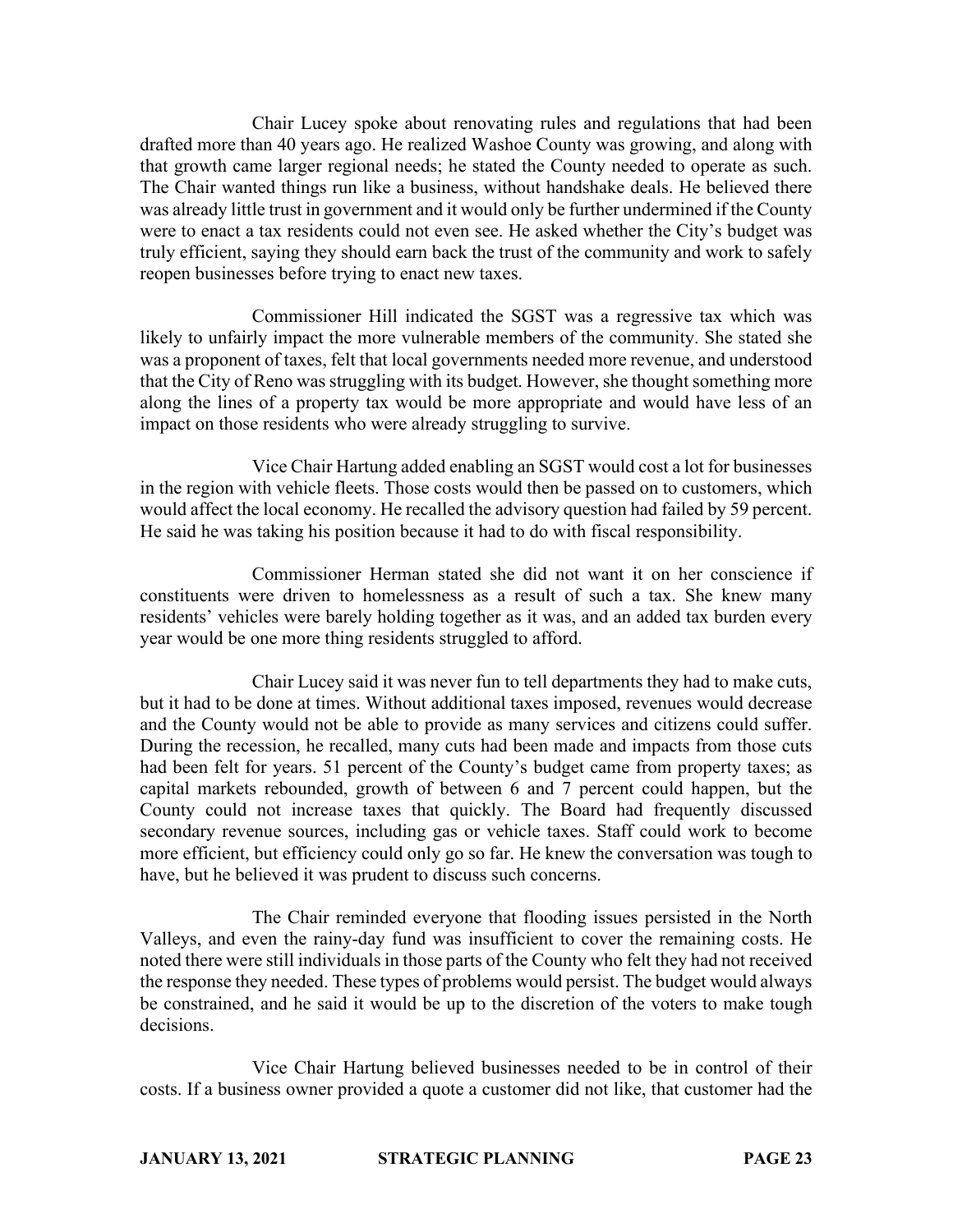Chair Lucey spoke about renovating rules and regulations that had been drafted more than 40 years ago. He realized Washoe County was growing, and along with that growth came larger regional needs; he stated the County needed to operate as such. The Chair wanted things run like a business, without handshake deals. He believed there was already little trust in government and it would only be further undermined if the County were to enact a tax residents could not even see. He asked whether the City's budget was truly efficient, saying they should earn back the trust of the community and work to safely reopen businesses before trying to enact new taxes.

Commissioner Hill indicated the SGST was a regressive tax which was likely to unfairly impact the more vulnerable members of the community. She stated she was a proponent of taxes, felt that local governments needed more revenue, and understood that the City of Reno was struggling with its budget. However, she thought something more along the lines of a property tax would be more appropriate and would have less of an impact on those residents who were already struggling to survive.

Vice Chair Hartung added enabling an SGST would cost a lot for businesses in the region with vehicle fleets. Those costs would then be passed on to customers, which would affect the local economy. He recalled the advisory question had failed by 59 percent. He said he was taking his position because it had to do with fiscal responsibility.

Commissioner Herman stated she did not want it on her conscience if constituents were driven to homelessness as a result of such a tax. She knew many residents' vehicles were barely holding together as it was, and an added tax burden every year would be one more thing residents struggled to afford.

Chair Lucey said it was never fun to tell departments they had to make cuts, but it had to be done at times. Without additional taxes imposed, revenues would decrease and the County would not be able to provide as many services and citizens could suffer. During the recession, he recalled, many cuts had been made and impacts from those cuts had been felt for years. 51 percent of the County's budget came from property taxes; as capital markets rebounded, growth of between 6 and 7 percent could happen, but the County could not increase taxes that quickly. The Board had frequently discussed secondary revenue sources, including gas or vehicle taxes. Staff could work to become more efficient, but efficiency could only go so far. He knew the conversation was tough to have, but he believed it was prudent to discuss such concerns.

The Chair reminded everyone that flooding issues persisted in the North Valleys, and even the rainy-day fund was insufficient to cover the remaining costs. He noted there were still individuals in those parts of the County who felt they had not received the response they needed. These types of problems would persist. The budget would always be constrained, and he said it would be up to the discretion of the voters to make tough decisions.

Vice Chair Hartung believed businesses needed to be in control of their costs. If a business owner provided a quote a customer did not like, that customer had the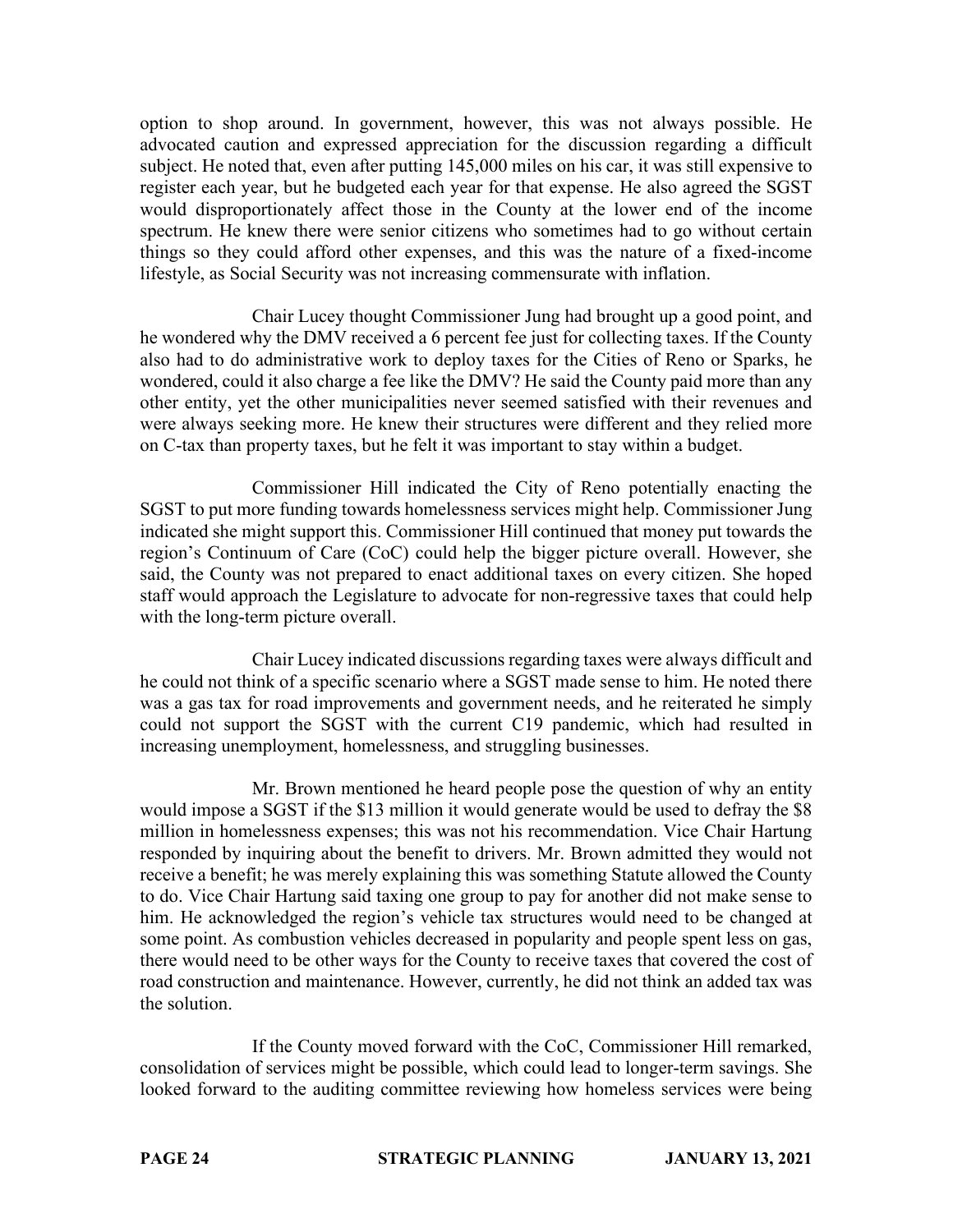option to shop around. In government, however, this was not always possible. He advocated caution and expressed appreciation for the discussion regarding a difficult subject. He noted that, even after putting 145,000 miles on his car, it was still expensive to register each year, but he budgeted each year for that expense. He also agreed the SGST would disproportionately affect those in the County at the lower end of the income spectrum. He knew there were senior citizens who sometimes had to go without certain things so they could afford other expenses, and this was the nature of a fixed-income lifestyle, as Social Security was not increasing commensurate with inflation.

Chair Lucey thought Commissioner Jung had brought up a good point, and he wondered why the DMV received a 6 percent fee just for collecting taxes. If the County also had to do administrative work to deploy taxes for the Cities of Reno or Sparks, he wondered, could it also charge a fee like the DMV? He said the County paid more than any other entity, yet the other municipalities never seemed satisfied with their revenues and were always seeking more. He knew their structures were different and they relied more on C-tax than property taxes, but he felt it was important to stay within a budget.

Commissioner Hill indicated the City of Reno potentially enacting the SGST to put more funding towards homelessness services might help. Commissioner Jung indicated she might support this. Commissioner Hill continued that money put towards the region's Continuum of Care (CoC) could help the bigger picture overall. However, she said, the County was not prepared to enact additional taxes on every citizen. She hoped staff would approach the Legislature to advocate for non-regressive taxes that could help with the long-term picture overall.

Chair Lucey indicated discussions regarding taxes were always difficult and he could not think of a specific scenario where a SGST made sense to him. He noted there was a gas tax for road improvements and government needs, and he reiterated he simply could not support the SGST with the current C19 pandemic, which had resulted in increasing unemployment, homelessness, and struggling businesses.

Mr. Brown mentioned he heard people pose the question of why an entity would impose a SGST if the \$13 million it would generate would be used to defray the \$8 million in homelessness expenses; this was not his recommendation. Vice Chair Hartung responded by inquiring about the benefit to drivers. Mr. Brown admitted they would not receive a benefit; he was merely explaining this was something Statute allowed the County to do. Vice Chair Hartung said taxing one group to pay for another did not make sense to him. He acknowledged the region's vehicle tax structures would need to be changed at some point. As combustion vehicles decreased in popularity and people spent less on gas, there would need to be other ways for the County to receive taxes that covered the cost of road construction and maintenance. However, currently, he did not think an added tax was the solution.

If the County moved forward with the CoC, Commissioner Hill remarked, consolidation of services might be possible, which could lead to longer-term savings. She looked forward to the auditing committee reviewing how homeless services were being

**PAGE 24 STRATEGIC PLANNING JANUARY 13, 2021**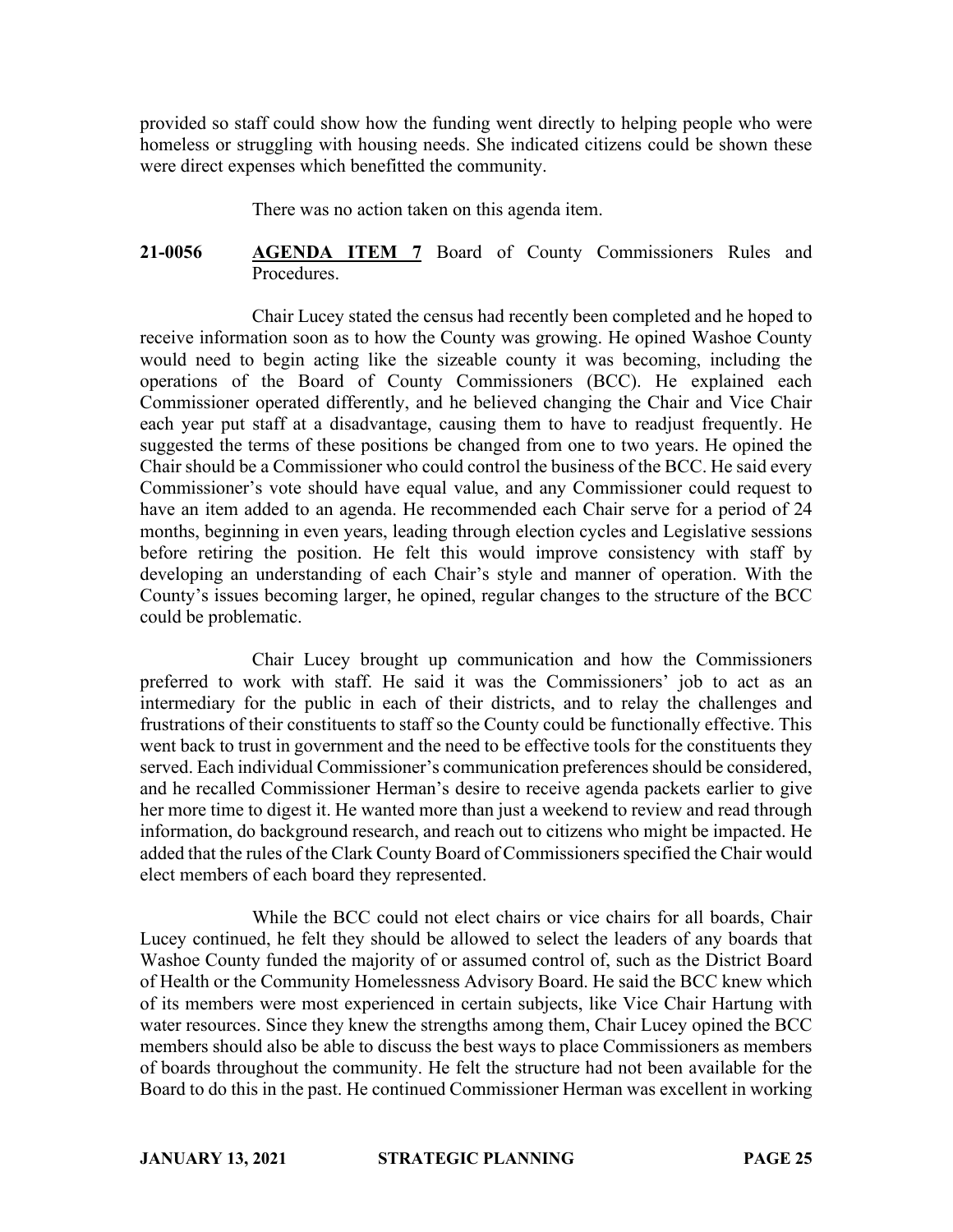provided so staff could show how the funding went directly to helping people who were homeless or struggling with housing needs. She indicated citizens could be shown these were direct expenses which benefitted the community.

There was no action taken on this agenda item.

## **21-0056 AGENDA ITEM 7** Board of County Commissioners Rules and Procedures.

Chair Lucey stated the census had recently been completed and he hoped to receive information soon as to how the County was growing. He opined Washoe County would need to begin acting like the sizeable county it was becoming, including the operations of the Board of County Commissioners (BCC). He explained each Commissioner operated differently, and he believed changing the Chair and Vice Chair each year put staff at a disadvantage, causing them to have to readjust frequently. He suggested the terms of these positions be changed from one to two years. He opined the Chair should be a Commissioner who could control the business of the BCC. He said every Commissioner's vote should have equal value, and any Commissioner could request to have an item added to an agenda. He recommended each Chair serve for a period of 24 months, beginning in even years, leading through election cycles and Legislative sessions before retiring the position. He felt this would improve consistency with staff by developing an understanding of each Chair's style and manner of operation. With the County's issues becoming larger, he opined, regular changes to the structure of the BCC could be problematic.

Chair Lucey brought up communication and how the Commissioners preferred to work with staff. He said it was the Commissioners' job to act as an intermediary for the public in each of their districts, and to relay the challenges and frustrations of their constituents to staff so the County could be functionally effective. This went back to trust in government and the need to be effective tools for the constituents they served. Each individual Commissioner's communication preferences should be considered, and he recalled Commissioner Herman's desire to receive agenda packets earlier to give her more time to digest it. He wanted more than just a weekend to review and read through information, do background research, and reach out to citizens who might be impacted. He added that the rules of the Clark County Board of Commissioners specified the Chair would elect members of each board they represented.

While the BCC could not elect chairs or vice chairs for all boards, Chair Lucey continued, he felt they should be allowed to select the leaders of any boards that Washoe County funded the majority of or assumed control of, such as the District Board of Health or the Community Homelessness Advisory Board. He said the BCC knew which of its members were most experienced in certain subjects, like Vice Chair Hartung with water resources. Since they knew the strengths among them, Chair Lucey opined the BCC members should also be able to discuss the best ways to place Commissioners as members of boards throughout the community. He felt the structure had not been available for the Board to do this in the past. He continued Commissioner Herman was excellent in working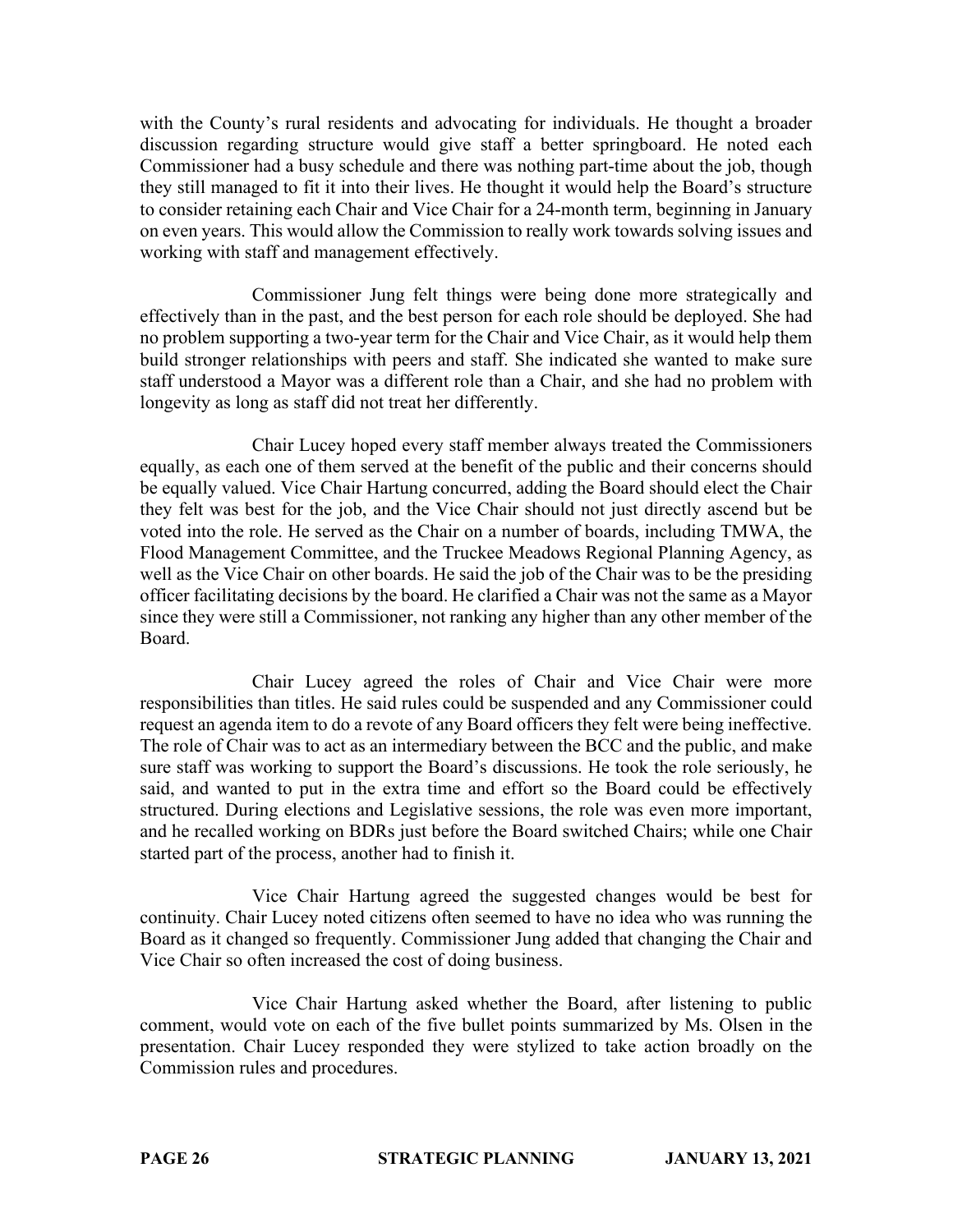with the County's rural residents and advocating for individuals. He thought a broader discussion regarding structure would give staff a better springboard. He noted each Commissioner had a busy schedule and there was nothing part-time about the job, though they still managed to fit it into their lives. He thought it would help the Board's structure to consider retaining each Chair and Vice Chair for a 24-month term, beginning in January on even years. This would allow the Commission to really work towards solving issues and working with staff and management effectively.

Commissioner Jung felt things were being done more strategically and effectively than in the past, and the best person for each role should be deployed. She had no problem supporting a two-year term for the Chair and Vice Chair, as it would help them build stronger relationships with peers and staff. She indicated she wanted to make sure staff understood a Mayor was a different role than a Chair, and she had no problem with longevity as long as staff did not treat her differently.

Chair Lucey hoped every staff member always treated the Commissioners equally, as each one of them served at the benefit of the public and their concerns should be equally valued. Vice Chair Hartung concurred, adding the Board should elect the Chair they felt was best for the job, and the Vice Chair should not just directly ascend but be voted into the role. He served as the Chair on a number of boards, including TMWA, the Flood Management Committee, and the Truckee Meadows Regional Planning Agency, as well as the Vice Chair on other boards. He said the job of the Chair was to be the presiding officer facilitating decisions by the board. He clarified a Chair was not the same as a Mayor since they were still a Commissioner, not ranking any higher than any other member of the Board.

Chair Lucey agreed the roles of Chair and Vice Chair were more responsibilities than titles. He said rules could be suspended and any Commissioner could request an agenda item to do a revote of any Board officers they felt were being ineffective. The role of Chair was to act as an intermediary between the BCC and the public, and make sure staff was working to support the Board's discussions. He took the role seriously, he said, and wanted to put in the extra time and effort so the Board could be effectively structured. During elections and Legislative sessions, the role was even more important, and he recalled working on BDRs just before the Board switched Chairs; while one Chair started part of the process, another had to finish it.

Vice Chair Hartung agreed the suggested changes would be best for continuity. Chair Lucey noted citizens often seemed to have no idea who was running the Board as it changed so frequently. Commissioner Jung added that changing the Chair and Vice Chair so often increased the cost of doing business.

Vice Chair Hartung asked whether the Board, after listening to public comment, would vote on each of the five bullet points summarized by Ms. Olsen in the presentation. Chair Lucey responded they were stylized to take action broadly on the Commission rules and procedures.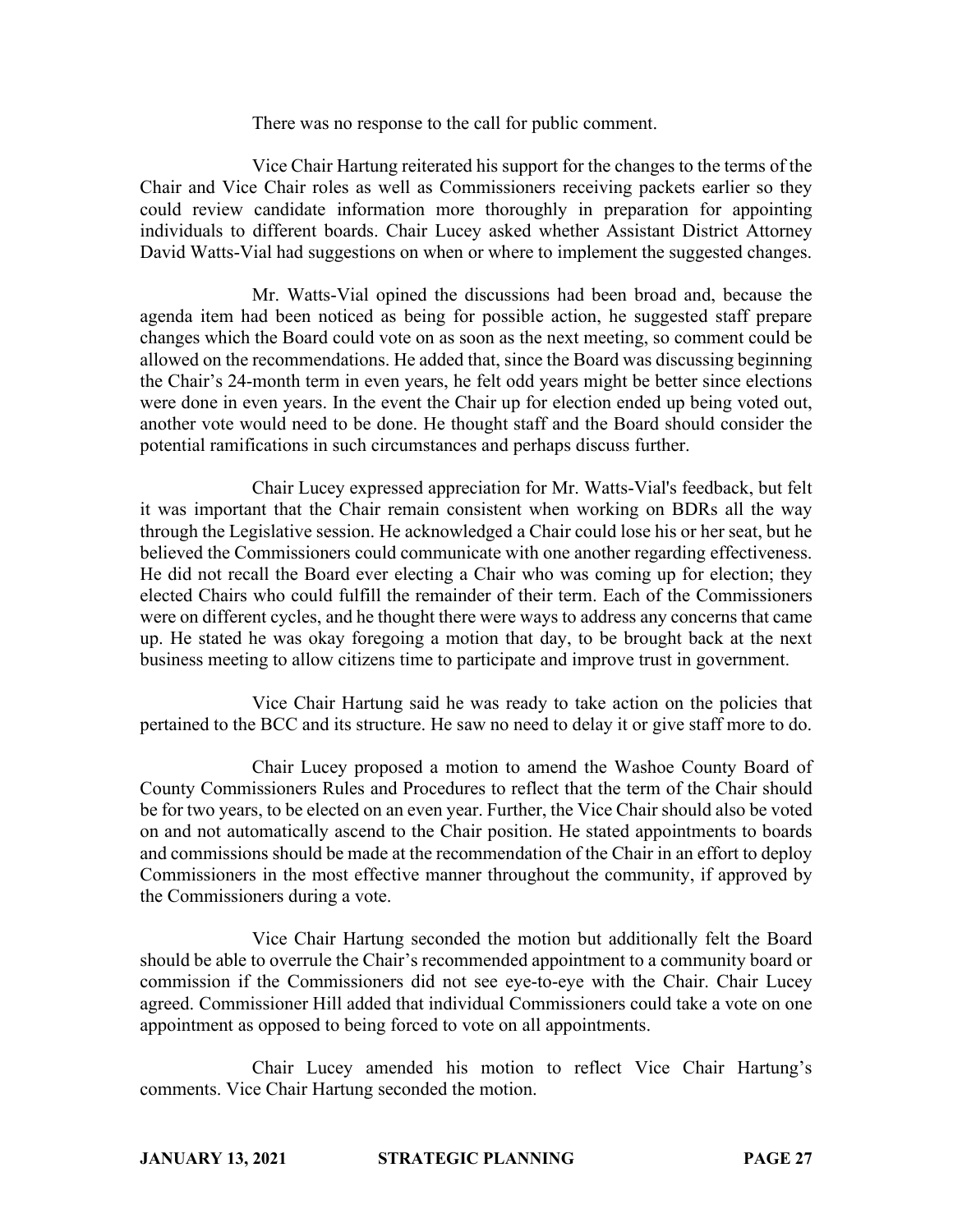There was no response to the call for public comment.

Vice Chair Hartung reiterated his support for the changes to the terms of the Chair and Vice Chair roles as well as Commissioners receiving packets earlier so they could review candidate information more thoroughly in preparation for appointing individuals to different boards. Chair Lucey asked whether Assistant District Attorney David Watts-Vial had suggestions on when or where to implement the suggested changes.

Mr. Watts-Vial opined the discussions had been broad and, because the agenda item had been noticed as being for possible action, he suggested staff prepare changes which the Board could vote on as soon as the next meeting, so comment could be allowed on the recommendations. He added that, since the Board was discussing beginning the Chair's 24-month term in even years, he felt odd years might be better since elections were done in even years. In the event the Chair up for election ended up being voted out, another vote would need to be done. He thought staff and the Board should consider the potential ramifications in such circumstances and perhaps discuss further.

Chair Lucey expressed appreciation for Mr. Watts-Vial's feedback, but felt it was important that the Chair remain consistent when working on BDRs all the way through the Legislative session. He acknowledged a Chair could lose his or her seat, but he believed the Commissioners could communicate with one another regarding effectiveness. He did not recall the Board ever electing a Chair who was coming up for election; they elected Chairs who could fulfill the remainder of their term. Each of the Commissioners were on different cycles, and he thought there were ways to address any concerns that came up. He stated he was okay foregoing a motion that day, to be brought back at the next business meeting to allow citizens time to participate and improve trust in government.

Vice Chair Hartung said he was ready to take action on the policies that pertained to the BCC and its structure. He saw no need to delay it or give staff more to do.

Chair Lucey proposed a motion to amend the Washoe County Board of County Commissioners Rules and Procedures to reflect that the term of the Chair should be for two years, to be elected on an even year. Further, the Vice Chair should also be voted on and not automatically ascend to the Chair position. He stated appointments to boards and commissions should be made at the recommendation of the Chair in an effort to deploy Commissioners in the most effective manner throughout the community, if approved by the Commissioners during a vote.

Vice Chair Hartung seconded the motion but additionally felt the Board should be able to overrule the Chair's recommended appointment to a community board or commission if the Commissioners did not see eye-to-eye with the Chair. Chair Lucey agreed. Commissioner Hill added that individual Commissioners could take a vote on one appointment as opposed to being forced to vote on all appointments.

Chair Lucey amended his motion to reflect Vice Chair Hartung's comments. Vice Chair Hartung seconded the motion.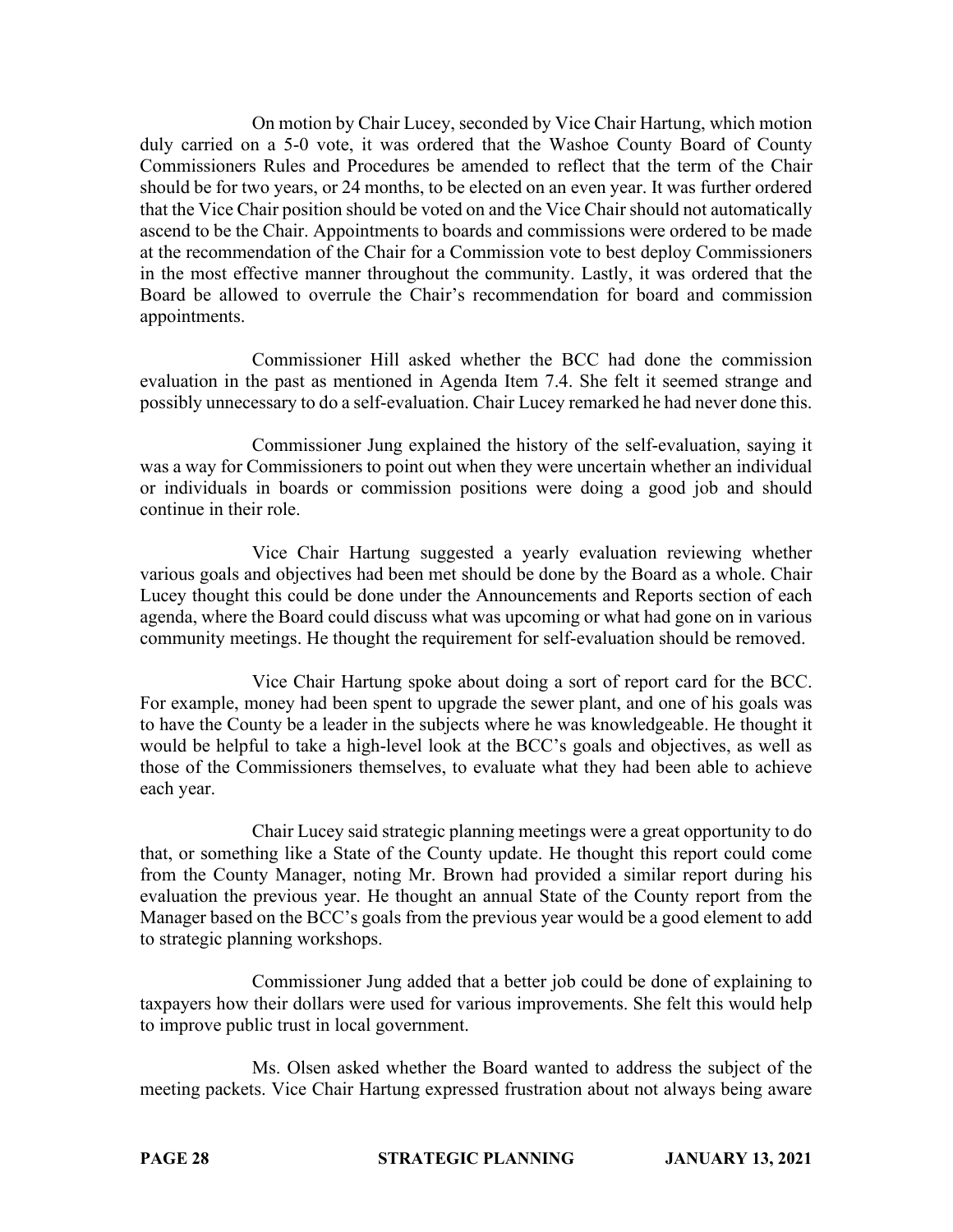On motion by Chair Lucey, seconded by Vice Chair Hartung, which motion duly carried on a 5-0 vote, it was ordered that the Washoe County Board of County Commissioners Rules and Procedures be amended to reflect that the term of the Chair should be for two years, or 24 months, to be elected on an even year. It was further ordered that the Vice Chair position should be voted on and the Vice Chair should not automatically ascend to be the Chair. Appointments to boards and commissions were ordered to be made at the recommendation of the Chair for a Commission vote to best deploy Commissioners in the most effective manner throughout the community. Lastly, it was ordered that the Board be allowed to overrule the Chair's recommendation for board and commission appointments.

Commissioner Hill asked whether the BCC had done the commission evaluation in the past as mentioned in Agenda Item 7.4. She felt it seemed strange and possibly unnecessary to do a self-evaluation. Chair Lucey remarked he had never done this.

Commissioner Jung explained the history of the self-evaluation, saying it was a way for Commissioners to point out when they were uncertain whether an individual or individuals in boards or commission positions were doing a good job and should continue in their role.

Vice Chair Hartung suggested a yearly evaluation reviewing whether various goals and objectives had been met should be done by the Board as a whole. Chair Lucey thought this could be done under the Announcements and Reports section of each agenda, where the Board could discuss what was upcoming or what had gone on in various community meetings. He thought the requirement for self-evaluation should be removed.

Vice Chair Hartung spoke about doing a sort of report card for the BCC. For example, money had been spent to upgrade the sewer plant, and one of his goals was to have the County be a leader in the subjects where he was knowledgeable. He thought it would be helpful to take a high-level look at the BCC's goals and objectives, as well as those of the Commissioners themselves, to evaluate what they had been able to achieve each year.

Chair Lucey said strategic planning meetings were a great opportunity to do that, or something like a State of the County update. He thought this report could come from the County Manager, noting Mr. Brown had provided a similar report during his evaluation the previous year. He thought an annual State of the County report from the Manager based on the BCC's goals from the previous year would be a good element to add to strategic planning workshops.

Commissioner Jung added that a better job could be done of explaining to taxpayers how their dollars were used for various improvements. She felt this would help to improve public trust in local government.

Ms. Olsen asked whether the Board wanted to address the subject of the meeting packets. Vice Chair Hartung expressed frustration about not always being aware

**PAGE 28 STRATEGIC PLANNING JANUARY 13, 2021**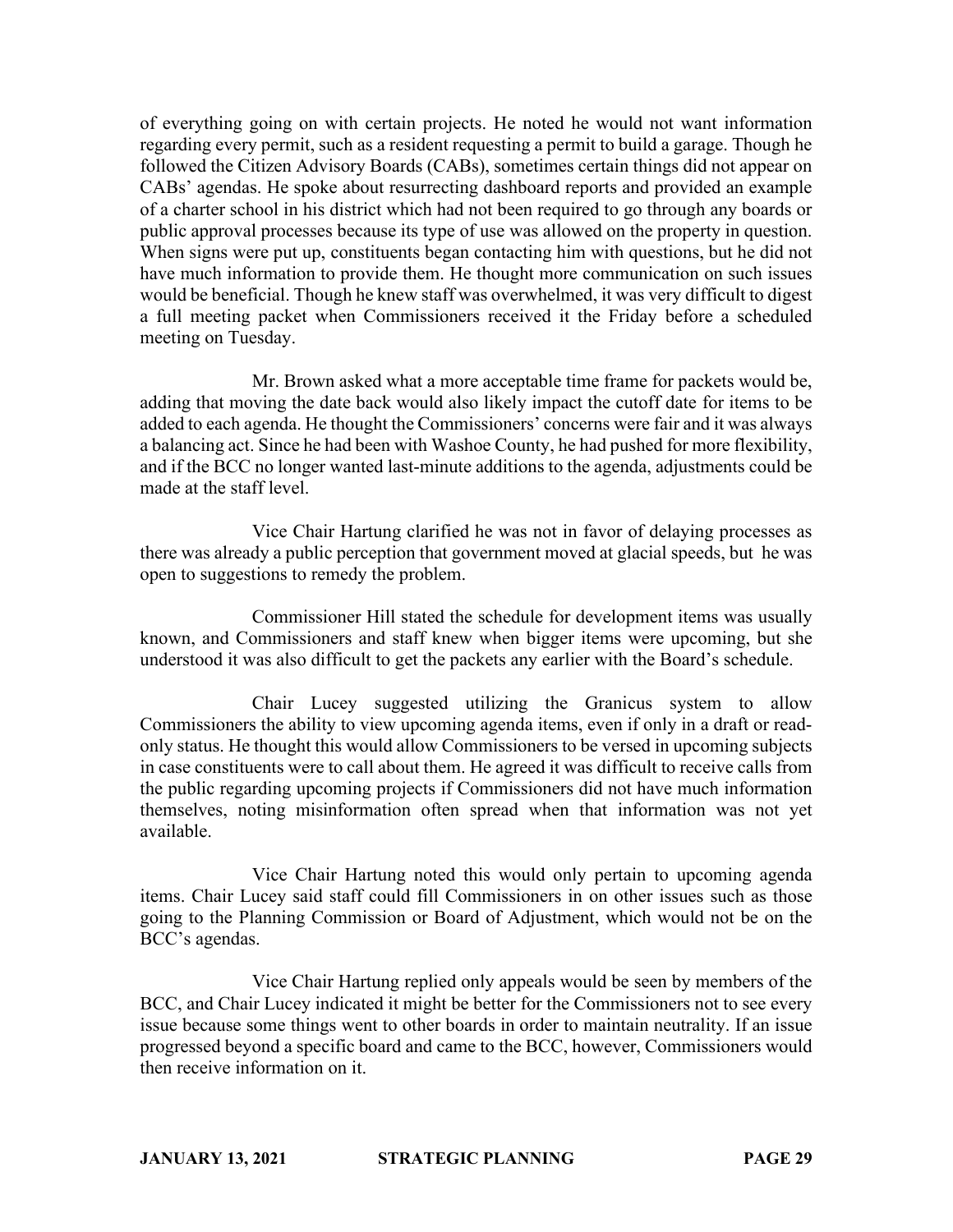of everything going on with certain projects. He noted he would not want information regarding every permit, such as a resident requesting a permit to build a garage. Though he followed the Citizen Advisory Boards (CABs), sometimes certain things did not appear on CABs' agendas. He spoke about resurrecting dashboard reports and provided an example of a charter school in his district which had not been required to go through any boards or public approval processes because its type of use was allowed on the property in question. When signs were put up, constituents began contacting him with questions, but he did not have much information to provide them. He thought more communication on such issues would be beneficial. Though he knew staff was overwhelmed, it was very difficult to digest a full meeting packet when Commissioners received it the Friday before a scheduled meeting on Tuesday.

Mr. Brown asked what a more acceptable time frame for packets would be, adding that moving the date back would also likely impact the cutoff date for items to be added to each agenda. He thought the Commissioners' concerns were fair and it was always a balancing act. Since he had been with Washoe County, he had pushed for more flexibility, and if the BCC no longer wanted last-minute additions to the agenda, adjustments could be made at the staff level.

Vice Chair Hartung clarified he was not in favor of delaying processes as there was already a public perception that government moved at glacial speeds, but he was open to suggestions to remedy the problem.

Commissioner Hill stated the schedule for development items was usually known, and Commissioners and staff knew when bigger items were upcoming, but she understood it was also difficult to get the packets any earlier with the Board's schedule.

Chair Lucey suggested utilizing the Granicus system to allow Commissioners the ability to view upcoming agenda items, even if only in a draft or readonly status. He thought this would allow Commissioners to be versed in upcoming subjects in case constituents were to call about them. He agreed it was difficult to receive calls from the public regarding upcoming projects if Commissioners did not have much information themselves, noting misinformation often spread when that information was not yet available.

Vice Chair Hartung noted this would only pertain to upcoming agenda items. Chair Lucey said staff could fill Commissioners in on other issues such as those going to the Planning Commission or Board of Adjustment, which would not be on the BCC's agendas.

Vice Chair Hartung replied only appeals would be seen by members of the BCC, and Chair Lucey indicated it might be better for the Commissioners not to see every issue because some things went to other boards in order to maintain neutrality. If an issue progressed beyond a specific board and came to the BCC, however, Commissioners would then receive information on it.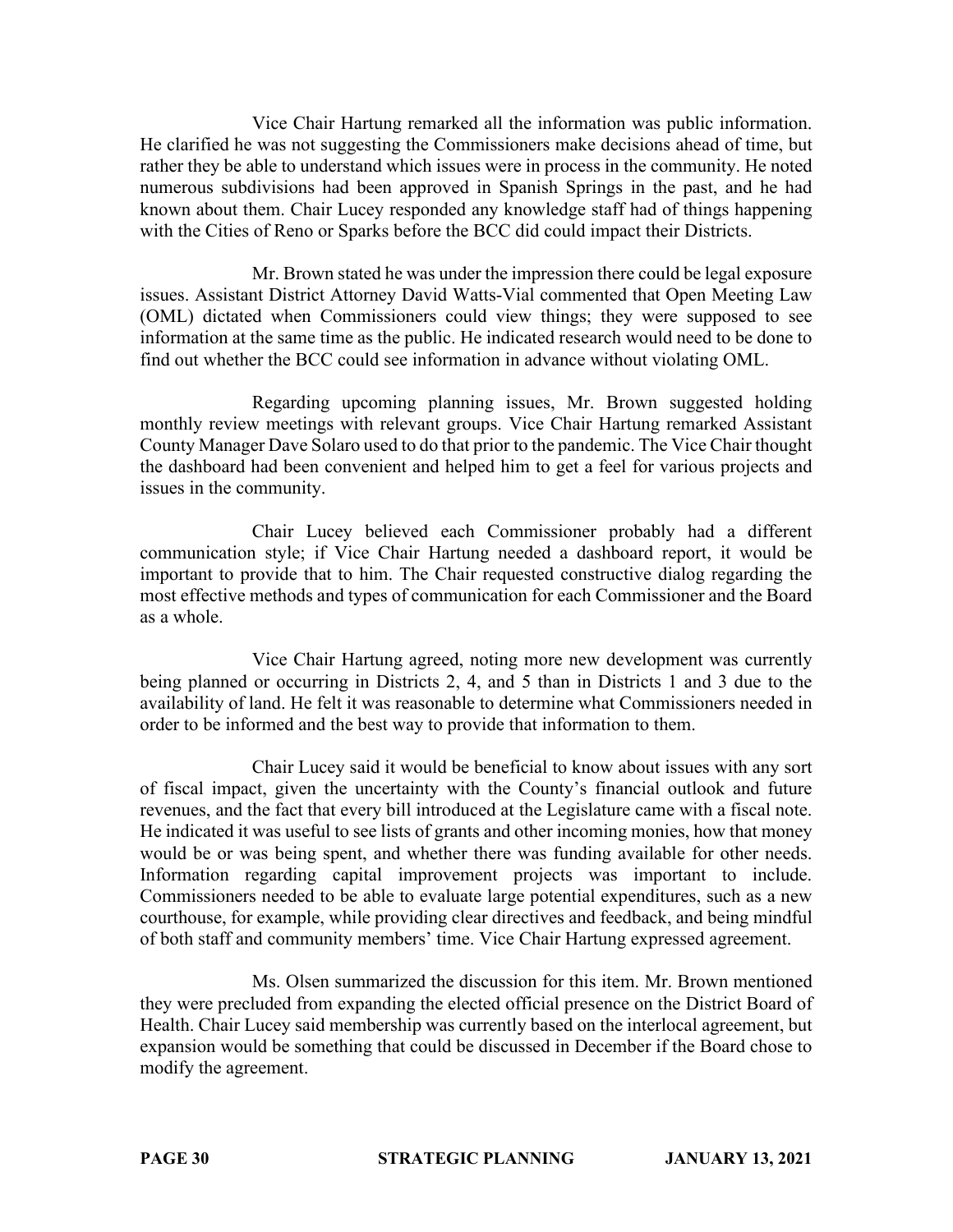Vice Chair Hartung remarked all the information was public information. He clarified he was not suggesting the Commissioners make decisions ahead of time, but rather they be able to understand which issues were in process in the community. He noted numerous subdivisions had been approved in Spanish Springs in the past, and he had known about them. Chair Lucey responded any knowledge staff had of things happening with the Cities of Reno or Sparks before the BCC did could impact their Districts.

Mr. Brown stated he was under the impression there could be legal exposure issues. Assistant District Attorney David Watts-Vial commented that Open Meeting Law (OML) dictated when Commissioners could view things; they were supposed to see information at the same time as the public. He indicated research would need to be done to find out whether the BCC could see information in advance without violating OML.

Regarding upcoming planning issues, Mr. Brown suggested holding monthly review meetings with relevant groups. Vice Chair Hartung remarked Assistant County Manager Dave Solaro used to do that prior to the pandemic. The Vice Chair thought the dashboard had been convenient and helped him to get a feel for various projects and issues in the community.

Chair Lucey believed each Commissioner probably had a different communication style; if Vice Chair Hartung needed a dashboard report, it would be important to provide that to him. The Chair requested constructive dialog regarding the most effective methods and types of communication for each Commissioner and the Board as a whole.

Vice Chair Hartung agreed, noting more new development was currently being planned or occurring in Districts 2, 4, and 5 than in Districts 1 and 3 due to the availability of land. He felt it was reasonable to determine what Commissioners needed in order to be informed and the best way to provide that information to them.

Chair Lucey said it would be beneficial to know about issues with any sort of fiscal impact, given the uncertainty with the County's financial outlook and future revenues, and the fact that every bill introduced at the Legislature came with a fiscal note. He indicated it was useful to see lists of grants and other incoming monies, how that money would be or was being spent, and whether there was funding available for other needs. Information regarding capital improvement projects was important to include. Commissioners needed to be able to evaluate large potential expenditures, such as a new courthouse, for example, while providing clear directives and feedback, and being mindful of both staff and community members' time. Vice Chair Hartung expressed agreement.

Ms. Olsen summarized the discussion for this item. Mr. Brown mentioned they were precluded from expanding the elected official presence on the District Board of Health. Chair Lucey said membership was currently based on the interlocal agreement, but expansion would be something that could be discussed in December if the Board chose to modify the agreement.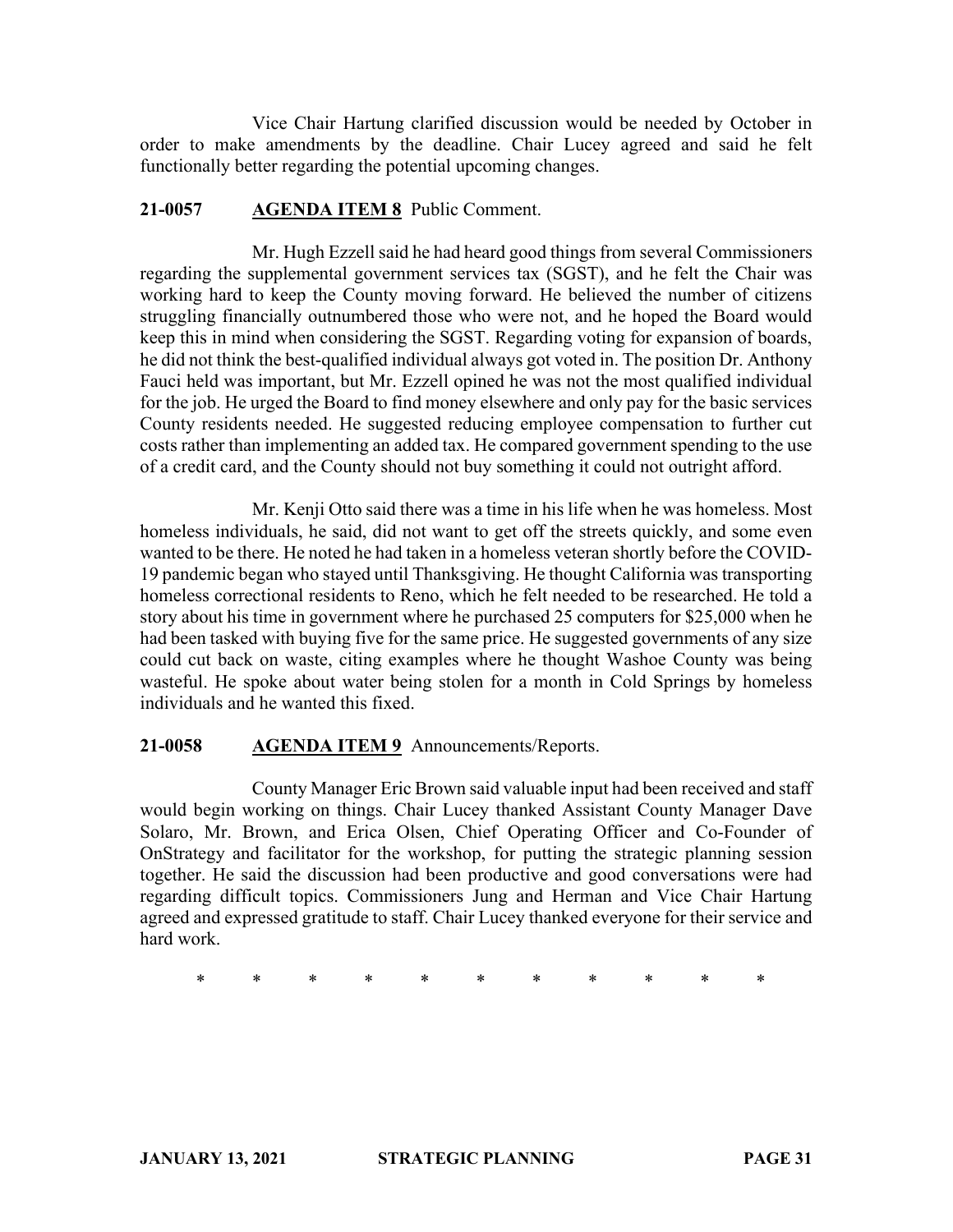Vice Chair Hartung clarified discussion would be needed by October in order to make amendments by the deadline. Chair Lucey agreed and said he felt functionally better regarding the potential upcoming changes.

# **21-0057 AGENDA ITEM 8** Public Comment.

Mr. Hugh Ezzell said he had heard good things from several Commissioners regarding the supplemental government services tax (SGST), and he felt the Chair was working hard to keep the County moving forward. He believed the number of citizens struggling financially outnumbered those who were not, and he hoped the Board would keep this in mind when considering the SGST. Regarding voting for expansion of boards, he did not think the best-qualified individual always got voted in. The position Dr. Anthony Fauci held was important, but Mr. Ezzell opined he was not the most qualified individual for the job. He urged the Board to find money elsewhere and only pay for the basic services County residents needed. He suggested reducing employee compensation to further cut costs rather than implementing an added tax. He compared government spending to the use of a credit card, and the County should not buy something it could not outright afford.

Mr. Kenji Otto said there was a time in his life when he was homeless. Most homeless individuals, he said, did not want to get off the streets quickly, and some even wanted to be there. He noted he had taken in a homeless veteran shortly before the COVID-19 pandemic began who stayed until Thanksgiving. He thought California was transporting homeless correctional residents to Reno, which he felt needed to be researched. He told a story about his time in government where he purchased 25 computers for \$25,000 when he had been tasked with buying five for the same price. He suggested governments of any size could cut back on waste, citing examples where he thought Washoe County was being wasteful. He spoke about water being stolen for a month in Cold Springs by homeless individuals and he wanted this fixed.

# **21-0058 AGENDA ITEM 9** Announcements/Reports.

County Manager Eric Brown said valuable input had been received and staff would begin working on things. Chair Lucey thanked Assistant County Manager Dave Solaro, Mr. Brown, and Erica Olsen, Chief Operating Officer and Co-Founder of OnStrategy and facilitator for the workshop, for putting the strategic planning session together. He said the discussion had been productive and good conversations were had regarding difficult topics. Commissioners Jung and Herman and Vice Chair Hartung agreed and expressed gratitude to staff. Chair Lucey thanked everyone for their service and hard work.

\* \* \* \* \* \* \* \* \* \* \*